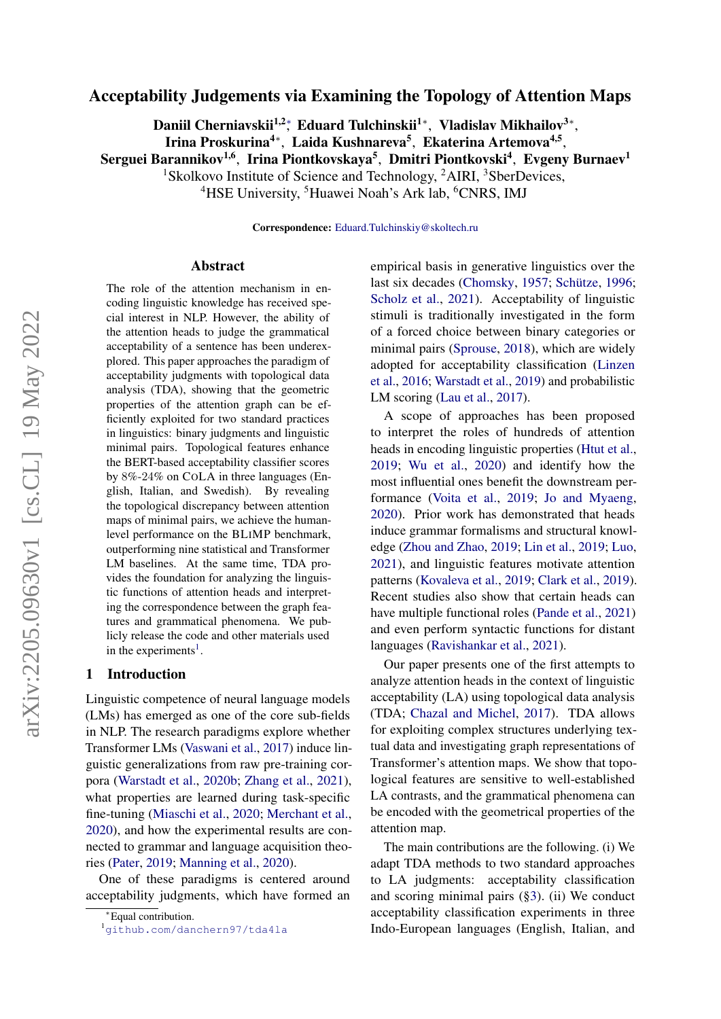# Acceptability Judgements via Examining the Topology of Attention Maps

Daniil Cherniavskii<sup>1,2</sup>\*, Eduard Tulchinskii<sup>1</sup>\*, Vladislav Mikhailov<sup>3∗</sup>,

Irina Proskurina<sup>4</sup>\*, Laida Kushnareva<sup>5</sup>, Ekaterina Artemova<sup>4,5</sup>,

Serguei Barannikov $^{1,6}$ , Irina Piontkovskaya $^5$ , Dmitri Piontkovski $^4$ , Evgeny Burnaev $^1$ 

<sup>1</sup>Skolkovo Institute of Science and Technology,  ${}^{2}$ AIRI,  ${}^{3}$ SberDevices,

<sup>4</sup>HSE University, <sup>5</sup>Huawei Noah's Ark lab, <sup>6</sup>CNRS, IMJ

Correspondence: [Eduard.Tulchinskiy@skoltech.ru](mailto:Eduard.Tulchinskiy@skoltech.ru)

#### Abstract

The role of the attention mechanism in encoding linguistic knowledge has received special interest in NLP. However, the ability of the attention heads to judge the grammatical acceptability of a sentence has been underexplored. This paper approaches the paradigm of acceptability judgments with topological data analysis (TDA), showing that the geometric properties of the attention graph can be efficiently exploited for two standard practices in linguistics: binary judgments and linguistic minimal pairs. Topological features enhance the BERT-based acceptability classifier scores by 8%-24% on COLA in three languages (English, Italian, and Swedish). By revealing the topological discrepancy between attention maps of minimal pairs, we achieve the humanlevel performance on the BLIMP benchmark, outperforming nine statistical and Transformer LM baselines. At the same time, TDA provides the foundation for analyzing the linguistic functions of attention heads and interpreting the correspondence between the graph features and grammatical phenomena. We publicly release the code and other materials used in the experiments<sup>[1](#page-0-0)</sup>.

## 1 Introduction

Linguistic competence of neural language models (LMs) has emerged as one of the core sub-fields in NLP. The research paradigms explore whether Transformer LMs [\(Vaswani et al.,](#page-11-0) [2017\)](#page-11-0) induce linguistic generalizations from raw pre-training corpora [\(Warstadt et al.,](#page-11-1) [2020b;](#page-11-1) [Zhang et al.,](#page-11-2) [2021\)](#page-11-2), what properties are learned during task-specific fine-tuning [\(Miaschi et al.,](#page-10-0) [2020;](#page-10-0) [Merchant et al.,](#page-10-1) [2020\)](#page-10-1), and how the experimental results are connected to grammar and language acquisition theories [\(Pater,](#page-10-2) [2019;](#page-10-2) [Manning et al.,](#page-10-3) [2020\)](#page-10-3).

One of these paradigms is centered around acceptability judgments, which have formed an

empirical basis in generative linguistics over the last six decades [\(Chomsky,](#page-8-0) [1957;](#page-8-0) [Schütze,](#page-10-4) [1996;](#page-10-4) [Scholz et al.,](#page-10-5) [2021\)](#page-10-5). Acceptability of linguistic stimuli is traditionally investigated in the form of a forced choice between binary categories or minimal pairs [\(Sprouse,](#page-10-6) [2018\)](#page-10-6), which are widely adopted for acceptability classification [\(Linzen](#page-9-0) [et al.,](#page-9-0) [2016;](#page-9-0) [Warstadt et al.,](#page-11-3) [2019\)](#page-11-3) and probabilistic LM scoring [\(Lau et al.,](#page-9-1) [2017\)](#page-9-1).

A scope of approaches has been proposed to interpret the roles of hundreds of attention heads in encoding linguistic properties [\(Htut et al.,](#page-9-2) [2019;](#page-9-2) [Wu et al.,](#page-11-4) [2020\)](#page-11-4) and identify how the most influential ones benefit the downstream performance [\(Voita et al.,](#page-11-5) [2019;](#page-11-5) [Jo and Myaeng,](#page-9-3) [2020\)](#page-9-3). Prior work has demonstrated that heads induce grammar formalisms and structural knowledge [\(Zhou and Zhao,](#page-11-6) [2019;](#page-11-6) [Lin et al.,](#page-9-4) [2019;](#page-9-4) [Luo,](#page-9-5) [2021\)](#page-9-5), and linguistic features motivate attention patterns [\(Kovaleva et al.,](#page-9-6) [2019;](#page-9-6) [Clark et al.,](#page-8-1) [2019\)](#page-8-1). Recent studies also show that certain heads can have multiple functional roles [\(Pande et al.,](#page-10-7) [2021\)](#page-10-7) and even perform syntactic functions for distant languages [\(Ravishankar et al.,](#page-10-8) [2021\)](#page-10-8).

Our paper presents one of the first attempts to analyze attention heads in the context of linguistic acceptability (LA) using topological data analysis (TDA; [Chazal and Michel,](#page-8-2) [2017\)](#page-8-2). TDA allows for exploiting complex structures underlying textual data and investigating graph representations of Transformer's attention maps. We show that topological features are sensitive to well-established LA contrasts, and the grammatical phenomena can be encoded with the geometrical properties of the attention map.

The main contributions are the following. (i) We adapt TDA methods to two standard approaches to LA judgments: acceptability classification and scoring minimal pairs ([§3\)](#page-1-0). (ii) We conduct acceptability classification experiments in three Indo-European languages (English, Italian, and

<sup>∗</sup>Equal contribution.

<span id="page-0-0"></span><sup>1</sup>[github.com/danchern97/tda4la](https://github.com/danchern97/tda4la)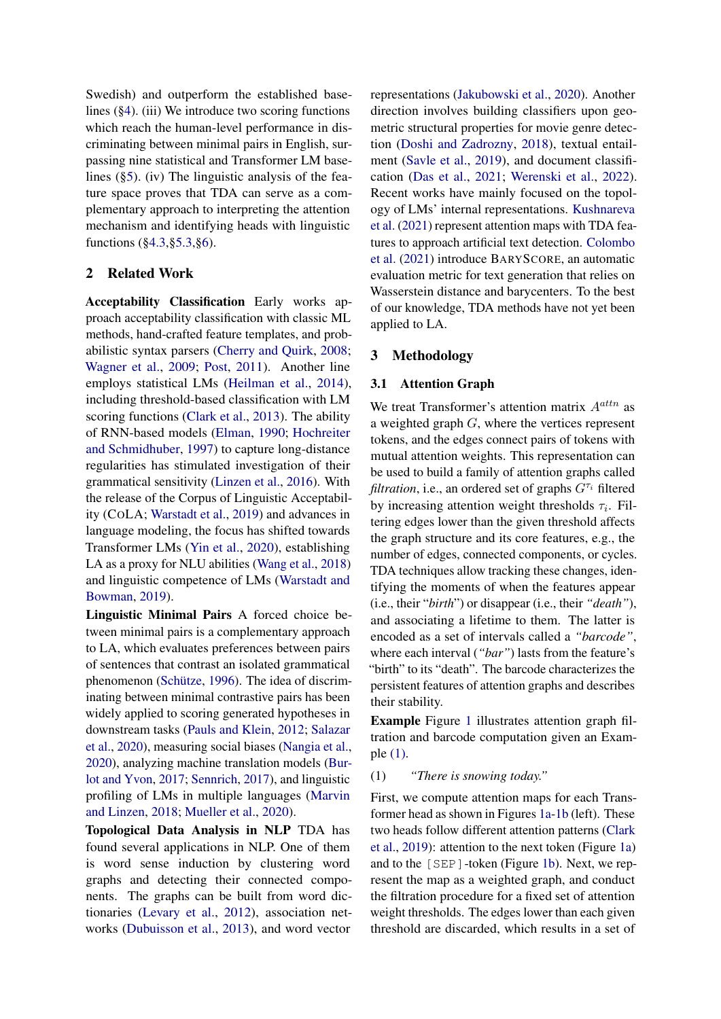Swedish) and outperform the established baselines  $(\S 4)$ . (iii) We introduce two scoring functions which reach the human-level performance in discriminating between minimal pairs in English, surpassing nine statistical and Transformer LM baselines ([§5\)](#page-5-0). (iv) The linguistic analysis of the feature space proves that TDA can serve as a complementary approach to interpreting the attention mechanism and identifying heads with linguistic functions ([§4.3,](#page-4-0)[§5.3,](#page-5-1)[§6\)](#page-7-0).

# 2 Related Work

Acceptability Classification Early works approach acceptability classification with classic ML methods, hand-crafted feature templates, and probabilistic syntax parsers [\(Cherry and Quirk,](#page-8-3) [2008;](#page-8-3) [Wagner et al.,](#page-11-7) [2009;](#page-11-7) [Post,](#page-10-9) [2011\)](#page-10-9). Another line employs statistical LMs [\(Heilman et al.,](#page-9-7) [2014\)](#page-9-7), including threshold-based classification with LM scoring functions [\(Clark et al.,](#page-8-4) [2013\)](#page-8-4). The ability of RNN-based models [\(Elman,](#page-9-8) [1990;](#page-9-8) [Hochreiter](#page-9-9) [and Schmidhuber,](#page-9-9) [1997\)](#page-9-9) to capture long-distance regularities has stimulated investigation of their grammatical sensitivity [\(Linzen et al.,](#page-9-0) [2016\)](#page-9-0). With the release of the Corpus of Linguistic Acceptability (COLA; [Warstadt et al.,](#page-11-3) [2019\)](#page-11-3) and advances in language modeling, the focus has shifted towards Transformer LMs [\(Yin et al.,](#page-11-8) [2020\)](#page-11-8), establishing LA as a proxy for NLU abilities [\(Wang et al.,](#page-11-9) [2018\)](#page-11-9) and linguistic competence of LMs [\(Warstadt and](#page-11-10) [Bowman,](#page-11-10) [2019\)](#page-11-10).

Linguistic Minimal Pairs A forced choice between minimal pairs is a complementary approach to LA, which evaluates preferences between pairs of sentences that contrast an isolated grammatical phenomenon [\(Schütze,](#page-10-4) [1996\)](#page-10-4). The idea of discriminating between minimal contrastive pairs has been widely applied to scoring generated hypotheses in downstream tasks [\(Pauls and Klein,](#page-10-10) [2012;](#page-10-10) [Salazar](#page-10-11) [et al.,](#page-10-11) [2020\)](#page-10-11), measuring social biases [\(Nangia et al.,](#page-10-12) [2020\)](#page-10-12), analyzing machine translation models [\(Bur](#page-8-5)[lot and Yvon,](#page-8-5) [2017;](#page-8-5) [Sennrich,](#page-10-13) [2017\)](#page-10-13), and linguistic profiling of LMs in multiple languages [\(Marvin](#page-10-14) [and Linzen,](#page-10-14) [2018;](#page-10-14) [Mueller et al.,](#page-10-15) [2020\)](#page-10-15).

Topological Data Analysis in NLP TDA has found several applications in NLP. One of them is word sense induction by clustering word graphs and detecting their connected components. The graphs can be built from word dictionaries [\(Levary et al.,](#page-9-10) [2012\)](#page-9-10), association networks [\(Dubuisson et al.,](#page-9-11) [2013\)](#page-9-11), and word vector

representations [\(Jakubowski et al.,](#page-9-12) [2020\)](#page-9-12). Another direction involves building classifiers upon geometric structural properties for movie genre detection [\(Doshi and Zadrozny,](#page-9-13) [2018\)](#page-9-13), textual entailment [\(Savle et al.,](#page-10-16) [2019\)](#page-10-16), and document classification [\(Das et al.,](#page-8-6) [2021;](#page-8-6) [Werenski et al.,](#page-11-11) [2022\)](#page-11-11). Recent works have mainly focused on the topology of LMs' internal representations. [Kushnareva](#page-9-14) [et al.](#page-9-14) [\(2021\)](#page-9-14) represent attention maps with TDA features to approach artificial text detection. [Colombo](#page-8-7) [et al.](#page-8-7) [\(2021\)](#page-8-7) introduce BARYSCORE, an automatic evaluation metric for text generation that relies on Wasserstein distance and barycenters. To the best of our knowledge, TDA methods have not yet been applied to LA.

# <span id="page-1-0"></span>3 Methodology

## 3.1 Attention Graph

We treat Transformer's attention matrix  $A^{attn}$  as a weighted graph G, where the vertices represent tokens, and the edges connect pairs of tokens with mutual attention weights. This representation can be used to build a family of attention graphs called *filtration*, i.e., an ordered set of graphs  $G^{\tau_i}$  filtered by increasing attention weight thresholds  $\tau_i$ . Filtering edges lower than the given threshold affects the graph structure and its core features, e.g., the number of edges, connected components, or cycles. TDA techniques allow tracking these changes, identifying the moments of when the features appear (i.e., their "*birth*") or disappear (i.e., their *"death"*), and associating a lifetime to them. The latter is encoded as a set of intervals called a *"barcode"*, where each interval (*"bar"*) lasts from the feature's "birth" to its "death". The barcode characterizes the persistent features of attention graphs and describes their stability.

<span id="page-1-1"></span>Example Figure [1](#page-2-0) illustrates attention graph filtration and barcode computation given an Example [\(1\).](#page-1-1)

### (1) *"There is snowing today."*

First, we compute attention maps for each Transformer head as shown in Figures [1a-1b](#page-2-0) (left). These two heads follow different attention patterns [\(Clark](#page-8-1) [et al.,](#page-8-1) [2019\)](#page-8-1): attention to the next token (Figure [1a\)](#page-2-0) and to the [SEP]-token (Figure [1b\)](#page-2-0). Next, we represent the map as a weighted graph, and conduct the filtration procedure for a fixed set of attention weight thresholds. The edges lower than each given threshold are discarded, which results in a set of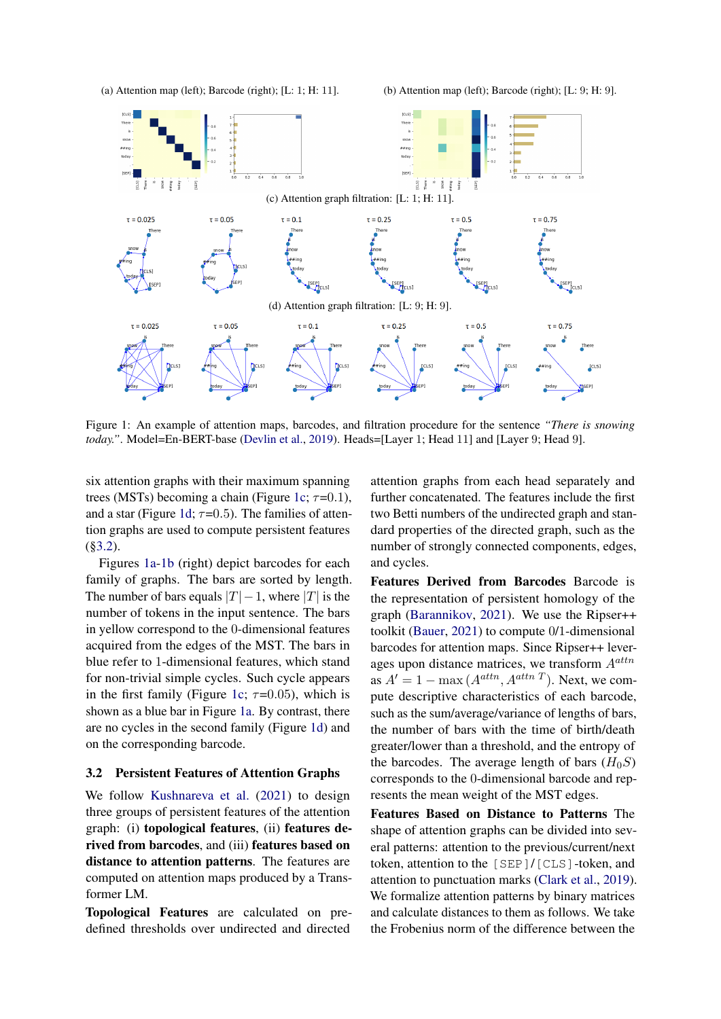<span id="page-2-0"></span>(a) Attention map (left); Barcode (right); [L: 1; H: 11]. (b) Attention map (left); Barcode (right); [L: 9; H: 9].



Figure 1: An example of attention maps, barcodes, and filtration procedure for the sentence *"There is snowing today."*. Model=En-BERT-base [\(Devlin et al.,](#page-8-8) [2019\)](#page-8-8). Heads=[Layer 1; Head 11] and [Layer 9; Head 9].

six attention graphs with their maximum spanning trees (MSTs) becoming a chain (Figure [1c;](#page-2-0)  $\tau$ =0.1), and a star (Figure [1d;](#page-2-0)  $\tau$ =0.5). The families of attention graphs are used to compute persistent features ([§3.2\)](#page-2-1).

Figures [1a-1b](#page-2-0) (right) depict barcodes for each family of graphs. The bars are sorted by length. The number of bars equals  $|T|-1$ , where  $|T|$  is the number of tokens in the input sentence. The bars in yellow correspond to the 0-dimensional features acquired from the edges of the MST. The bars in blue refer to 1-dimensional features, which stand for non-trivial simple cycles. Such cycle appears in the first family (Figure [1c;](#page-2-0)  $\tau$ =0.05), which is shown as a blue bar in Figure [1a.](#page-2-0) By contrast, there are no cycles in the second family (Figure [1d\)](#page-2-0) and on the corresponding barcode.

## <span id="page-2-1"></span>3.2 Persistent Features of Attention Graphs

We follow [Kushnareva et al.](#page-9-14) [\(2021\)](#page-9-14) to design three groups of persistent features of the attention graph: (i) topological features, (ii) features derived from barcodes, and (iii) features based on distance to attention patterns. The features are computed on attention maps produced by a Transformer LM.

Topological Features are calculated on predefined thresholds over undirected and directed

attention graphs from each head separately and further concatenated. The features include the first two Betti numbers of the undirected graph and standard properties of the directed graph, such as the number of strongly connected components, edges, and cycles.

Features Derived from Barcodes Barcode is the representation of persistent homology of the graph [\(Barannikov,](#page-8-9) [2021\)](#page-8-9). We use the Ripser++ toolkit [\(Bauer,](#page-8-10) [2021\)](#page-8-10) to compute 0/1-dimensional barcodes for attention maps. Since Ripser++ leverages upon distance matrices, we transform  $A^{attn}$ as  $A' = 1 - \max(A^{attn}, A^{attn}T)$ . Next, we compute descriptive characteristics of each barcode, such as the sum/average/variance of lengths of bars, the number of bars with the time of birth/death greater/lower than a threshold, and the entropy of the barcodes. The average length of bars  $(H_0S)$ corresponds to the 0-dimensional barcode and represents the mean weight of the MST edges.

Features Based on Distance to Patterns The shape of attention graphs can be divided into several patterns: attention to the previous/current/next token, attention to the [SEP]/[CLS]-token, and attention to punctuation marks [\(Clark et al.,](#page-8-1) [2019\)](#page-8-1). We formalize attention patterns by binary matrices and calculate distances to them as follows. We take the Frobenius norm of the difference between the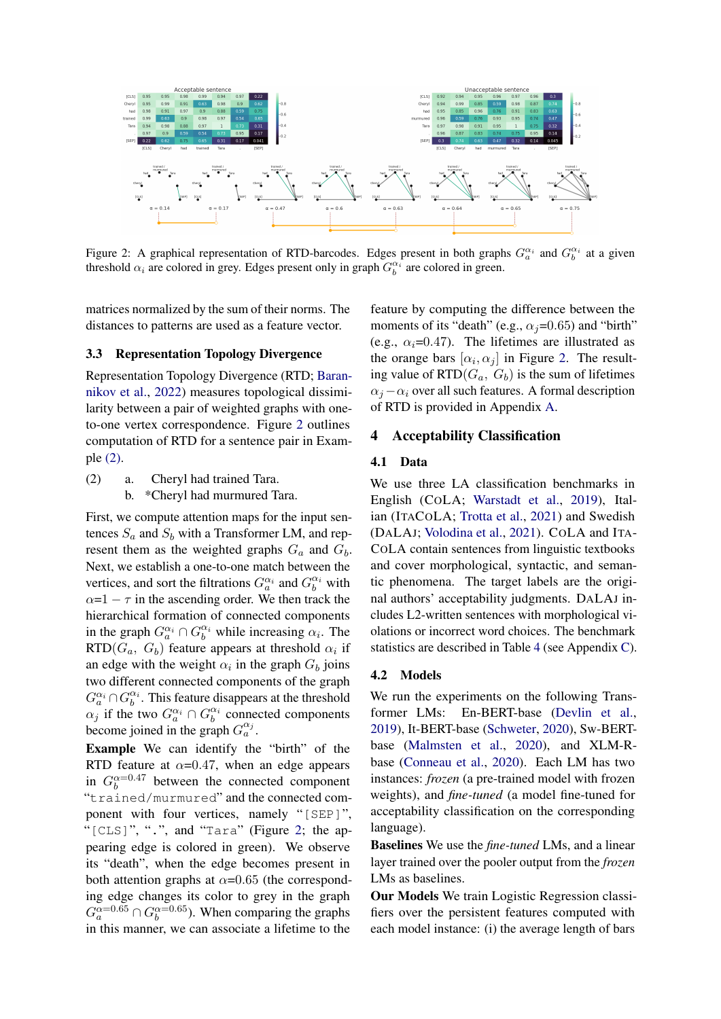<span id="page-3-1"></span>

Figure 2: A graphical representation of RTD-barcodes. Edges present in both graphs  $G_a^{\alpha_i}$  and  $G_b^{\alpha_i}$  at a given threshold  $\alpha_i$  are colored in grey. Edges present only in graph  $G_b^{\alpha_i}$  are colored in green.

matrices normalized by the sum of their norms. The distances to patterns are used as a feature vector.

### <span id="page-3-3"></span>3.3 Representation Topology Divergence

Representation Topology Divergence (RTD; [Baran](#page-8-11)[nikov et al.,](#page-8-11) [2022\)](#page-8-11) measures topological dissimilarity between a pair of weighted graphs with oneto-one vertex correspondence. Figure [2](#page-3-1) outlines computation of RTD for a sentence pair in Example [\(2\).](#page-3-2)

<span id="page-3-2"></span>(2) a. Cheryl had trained Tara. b. \*Cheryl had murmured Tara.

First, we compute attention maps for the input sentences  $S_a$  and  $S_b$  with a Transformer LM, and represent them as the weighted graphs  $G_a$  and  $G_b$ . Next, we establish a one-to-one match between the vertices, and sort the filtrations  $G_a^{\alpha_i}$  and  $G_b^{\alpha_i}$  with  $\alpha=1-\tau$  in the ascending order. We then track the hierarchical formation of connected components in the graph  $G_a^{\alpha_i} \cap G_b^{\alpha_i}$  while increasing  $\alpha_i$ . The  $RTD(G_a, G_b)$  feature appears at threshold  $\alpha_i$  if an edge with the weight  $\alpha_i$  in the graph  $G_b$  joins two different connected components of the graph  $G_a^{\alpha_i} \cap G_b^{\alpha_i}$ . This feature disappears at the threshold  $\alpha_j$  if the two  $G_a^{\alpha_i} \cap G_b^{\alpha_i}$  connected components become joined in the graph  $G_a^{\alpha_j}$ .

Example We can identify the "birth" of the RTD feature at  $\alpha$ =0.47, when an edge appears in  $G_b^{\alpha=0.47}$  between the connected component "trained/murmured" and the connected component with four vertices, namely "[SEP]", "[CLS]", ".", and "Tara" (Figure [2;](#page-3-1) the appearing edge is colored in green). We observe its "death", when the edge becomes present in both attention graphs at  $\alpha$ =0.65 (the corresponding edge changes its color to grey in the graph  $G_a^{\alpha=0.65} \cap G_b^{\alpha=0.65}$ ). When comparing the graphs in this manner, we can associate a lifetime to the

feature by computing the difference between the moments of its "death" (e.g.,  $\alpha_i$ =0.65) and "birth" (e.g.,  $\alpha_i$ =0.47). The lifetimes are illustrated as the orange bars  $[\alpha_i, \alpha_j]$  in Figure [2.](#page-3-1) The resulting value of  $\operatorname{RTD}(G_a, G_b)$  is the sum of lifetimes  $\alpha_i - \alpha_i$  over all such features. A formal description of RTD is provided in Appendix [A.](#page-12-0)

### <span id="page-3-0"></span>4 Acceptability Classification

## 4.1 Data

We use three LA classification benchmarks in English (COLA; [Warstadt et al.,](#page-11-3) [2019\)](#page-11-3), Italian (ITACOLA; [Trotta et al.,](#page-11-12) [2021\)](#page-11-12) and Swedish (DALAJ; [Volodina et al.,](#page-11-13) [2021\)](#page-11-13). COLA and ITA-COLA contain sentences from linguistic textbooks and cover morphological, syntactic, and semantic phenomena. The target labels are the original authors' acceptability judgments. DALAJ includes L2-written sentences with morphological violations or incorrect word choices. The benchmark statistics are described in Table [4](#page-12-1) (see Appendix [C\)](#page-12-2).

#### 4.2 Models

We run the experiments on the following Transformer LMs: En-BERT-base [\(Devlin et al.,](#page-8-8) [2019\)](#page-8-8), It-BERT-base [\(Schweter,](#page-10-17) [2020\)](#page-10-17), Sw-BERTbase [\(Malmsten et al.,](#page-9-15) [2020\)](#page-9-15), and XLM-Rbase [\(Conneau et al.,](#page-8-12) [2020\)](#page-8-12). Each LM has two instances: *frozen* (a pre-trained model with frozen weights), and *fine-tuned* (a model fine-tuned for acceptability classification on the corresponding language).

Baselines We use the *fine-tuned* LMs, and a linear layer trained over the pooler output from the *frozen* LMs as baselines.

Our Models We train Logistic Regression classifiers over the persistent features computed with each model instance: (i) the average length of bars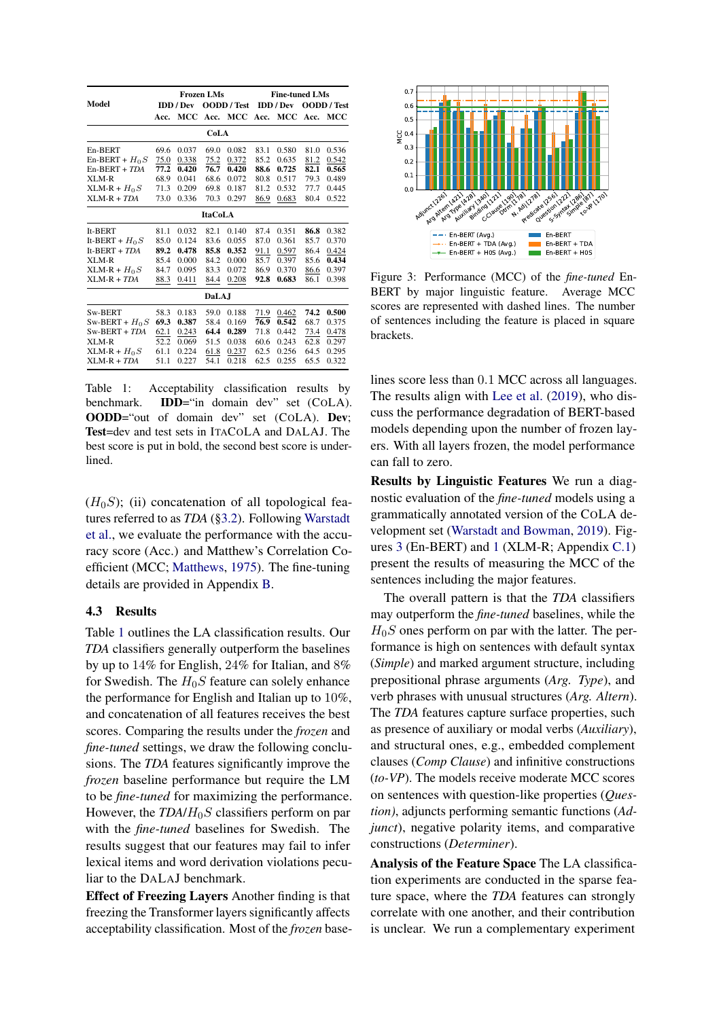<span id="page-4-1"></span>

|                  |      |                  | <b>Frozen LMs</b> |             | <b>Fine-tuned LMs</b> |           |                    |       |  |
|------------------|------|------------------|-------------------|-------------|-----------------------|-----------|--------------------|-------|--|
| Model            |      | <b>IDD</b> / Dev |                   | OODD / Test |                       | IDD / Dev | <b>OODD</b> / Test |       |  |
|                  | Acc. | MCC              | Acc.              | MCC         | Acc.                  | мсс       | Acc.               | MCC   |  |
|                  |      |                  | CoLA              |             |                       |           |                    |       |  |
| En-BERT          | 69.6 | 0.037            | 69.0              | 0.082       | 83.1                  | 0.580     | 81.0               | 0.536 |  |
| $En-BERT + H0 S$ | 75.0 | 0.338            | 75.2              | 0.372       | 85.2                  | 0.635     | 81.2               | 0.542 |  |
| $En-BERT + TDA$  | 77.2 | 0.420            | 76.7              | 0.420       | 88.6                  | 0.725     | 82.1               | 0.565 |  |
| XLM-R            | 68.9 | 0.041            | 68.6              | 0.072       | 80.8                  | 0.517     | 79.3               | 0.489 |  |
| $XLM-R + H_0S$   | 71.3 | 0.209            | 69.8              | 0.187       | 81.2                  | 0.532     | 77.7               | 0.445 |  |
| $XLM-R + TDA$    | 73.0 | 0.336            | 70.3              | 0.297       | 86.9                  | 0.683     | 80.4               | 0.522 |  |
| <b>ItaCoLA</b>   |      |                  |                   |             |                       |           |                    |       |  |
| It-BERT          | 81.1 | 0.032            | 82.1              | 0.140       | 87.4                  | 0.351     | 86.8               | 0.382 |  |
| It-BERT + $H_0S$ | 85.0 | 0.124            | 83.6              | 0.055       | 87.0                  | 0.361     | 85.7               | 0.370 |  |
| It-BERT + $TDA$  | 89.2 | 0.478            | 85.8              | 0.352       | 91.1                  | 0.597     | 86.4               | 0.424 |  |
| XLM-R            | 85.4 | 0.000            | 84.2              | 0.000       | 85.7                  | 0.397     | 85.6               | 0.434 |  |
| $XLM-R + H_0S$   | 84.7 | 0.095            | 83.3              | 0.072       | 86.9                  | 0.370     | 86.6               | 0.397 |  |
| $XLM-R + TDA$    | 88.3 | 0.411            | 84.4              | 0.208       | 92.8                  | 0.683     | 86.1               | 0.398 |  |
|                  |      |                  | <b>DaLAJ</b>      |             |                       |           |                    |       |  |
| Sw-BERT          | 58.3 | 0.183            | 59.0              | 0.188       | 71.9                  | 0.462     | 74.2               | 0.500 |  |
| Sw-BERT + $H_0S$ | 69.3 | 0.387            | 58.4              | 0.169       | 76.9                  | 0.542     | 68.7               | 0.375 |  |
| $Sw-BERT + TDA$  | 62.1 | 0.243            | 64.4              | 0.289       | 71.8                  | 0.442     | 73.4               | 0.478 |  |
| XLM-R            | 52.2 | 0.069            | 51.5              | 0.038       | 60.6                  | 0.243     | 62.8               | 0.297 |  |
| $XLM-R + H_0S$   | 61.1 | 0.224            | 61.8              | 0.237       | 62.5                  | 0.256     | 64.5               | 0.295 |  |
| $XLM-R + TDA$    | 51.1 | 0.227            | 54.1              | 0.218       | 62.5                  | 0.255     | 65.5               | 0.322 |  |

Table 1: Acceptability classification results by benchmark. IDD="in domain dev" set (COLA). OODD="out of domain dev" set (COLA). Dev; Test=dev and test sets in ITACOLA and DALAJ. The best score is put in bold, the second best score is underlined.

 $(H<sub>0</sub>S)$ ; (ii) concatenation of all topological features referred to as *TDA* ([§3.2\)](#page-2-1). Following [Warstadt](#page-11-3) [et al.,](#page-11-3) we evaluate the performance with the accuracy score (Acc.) and Matthew's Correlation Coefficient (MCC; [Matthews,](#page-10-18) [1975\)](#page-10-18). The fine-tuning details are provided in Appendix [B.](#page-12-3)

### <span id="page-4-0"></span>4.3 Results

Table [1](#page-4-1) outlines the LA classification results. Our *TDA* classifiers generally outperform the baselines by up to 14% for English, 24% for Italian, and 8% for Swedish. The  $H_0S$  feature can solely enhance the performance for English and Italian up to 10%, and concatenation of all features receives the best scores. Comparing the results under the *frozen* and *fine-tuned* settings, we draw the following conclusions. The *TDA* features significantly improve the *frozen* baseline performance but require the LM to be *fine-tuned* for maximizing the performance. However, the *TDA*/H0S classifiers perform on par with the *fine-tuned* baselines for Swedish. The results suggest that our features may fail to infer lexical items and word derivation violations peculiar to the DALAJ benchmark.

Effect of Freezing Layers Another finding is that freezing the Transformer layers significantly affects acceptability classification. Most of the *frozen* base-

<span id="page-4-2"></span>

Figure 3: Performance (MCC) of the *fine-tuned* En-BERT by major linguistic feature. Average MCC scores are represented with dashed lines. The number of sentences including the feature is placed in square brackets.

lines score less than 0.1 MCC across all languages. The results align with [Lee et al.](#page-9-16) [\(2019\)](#page-9-16), who discuss the performance degradation of BERT-based models depending upon the number of frozen layers. With all layers frozen, the model performance can fall to zero.

Results by Linguistic Features We run a diagnostic evaluation of the *fine-tuned* models using a grammatically annotated version of the COLA development set [\(Warstadt and Bowman,](#page-11-10) [2019\)](#page-11-10). Figures [3](#page-4-2) (En-BERT) and [1](#page-12-4) (XLM-R; Appendix [C.1\)](#page-12-5) present the results of measuring the MCC of the sentences including the major features.

The overall pattern is that the *TDA* classifiers may outperform the *fine-tuned* baselines, while the  $H_0S$  ones perform on par with the latter. The performance is high on sentences with default syntax (*Simple*) and marked argument structure, including prepositional phrase arguments (*Arg. Type*), and verb phrases with unusual structures (*Arg. Altern*). The *TDA* features capture surface properties, such as presence of auxiliary or modal verbs (*Auxiliary*), and structural ones, e.g., embedded complement clauses (*Comp Clause*) and infinitive constructions (*to-VP*). The models receive moderate MCC scores on sentences with question-like properties (*Question)*, adjuncts performing semantic functions (*Adjunct*), negative polarity items, and comparative constructions (*Determiner*).

Analysis of the Feature Space The LA classification experiments are conducted in the sparse feature space, where the *TDA* features can strongly correlate with one another, and their contribution is unclear. We run a complementary experiment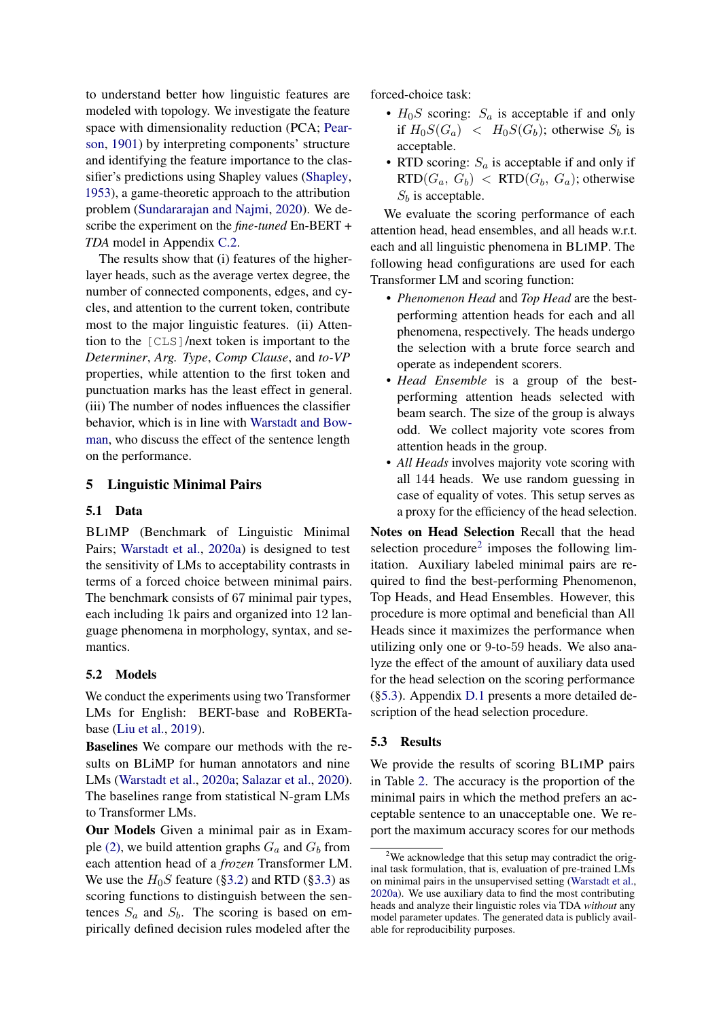to understand better how linguistic features are modeled with topology. We investigate the feature space with dimensionality reduction (PCA; [Pear](#page-10-19)[son,](#page-10-19) [1901\)](#page-10-19) by interpreting components' structure and identifying the feature importance to the classifier's predictions using Shapley values [\(Shapley,](#page-10-20) [1953\)](#page-10-20), a game-theoretic approach to the attribution problem [\(Sundararajan and Najmi,](#page-11-14) [2020\)](#page-11-14). We describe the experiment on the *fine-tuned* En-BERT + *TDA* model in Appendix [C.2.](#page-12-6)

The results show that (i) features of the higherlayer heads, such as the average vertex degree, the number of connected components, edges, and cycles, and attention to the current token, contribute most to the major linguistic features. (ii) Attention to the [CLS]/next token is important to the *Determiner*, *Arg. Type*, *Comp Clause*, and *to-VP* properties, while attention to the first token and punctuation marks has the least effect in general. (iii) The number of nodes influences the classifier behavior, which is in line with [Warstadt and Bow](#page-11-10)[man,](#page-11-10) who discuss the effect of the sentence length on the performance.

# <span id="page-5-0"></span>5 Linguistic Minimal Pairs

## 5.1 Data

BLIMP (Benchmark of Linguistic Minimal Pairs; [Warstadt et al.,](#page-11-15) [2020a\)](#page-11-15) is designed to test the sensitivity of LMs to acceptability contrasts in terms of a forced choice between minimal pairs. The benchmark consists of 67 minimal pair types, each including 1k pairs and organized into 12 language phenomena in morphology, syntax, and semantics.

## 5.2 Models

We conduct the experiments using two Transformer LMs for English: BERT-base and RoBERTabase [\(Liu et al.,](#page-9-17) [2019\)](#page-9-17).

Baselines We compare our methods with the results on BLiMP for human annotators and nine LMs [\(Warstadt et al.,](#page-11-15) [2020a;](#page-11-15) [Salazar et al.,](#page-10-11) [2020\)](#page-10-11). The baselines range from statistical N-gram LMs to Transformer LMs.

Our Models Given a minimal pair as in Exam-ple [\(2\),](#page-3-2) we build attention graphs  $G_a$  and  $G_b$  from each attention head of a *frozen* Transformer LM. We use the  $H_0S$  feature ([§3.2\)](#page-2-1) and RTD ([§3.3\)](#page-3-3) as scoring functions to distinguish between the sentences  $S_a$  and  $S_b$ . The scoring is based on empirically defined decision rules modeled after the

forced-choice task:

- $H_0S$  scoring:  $S_a$  is acceptable if and only if  $H_0S(G_a) < H_0S(G_b)$ ; otherwise  $S_b$  is acceptable.
- RTD scoring:  $S_a$  is acceptable if and only if  $RTD(G_a, G_b) < RTD(G_b, G_a)$ ; otherwise  $S<sub>b</sub>$  is acceptable.

We evaluate the scoring performance of each attention head, head ensembles, and all heads w.r.t. each and all linguistic phenomena in BLIMP. The following head configurations are used for each Transformer LM and scoring function:

- *Phenomenon Head* and *Top Head* are the bestperforming attention heads for each and all phenomena, respectively. The heads undergo the selection with a brute force search and operate as independent scorers.
- *Head Ensemble* is a group of the bestperforming attention heads selected with beam search. The size of the group is always odd. We collect majority vote scores from attention heads in the group.
- *All Heads* involves majority vote scoring with all 144 heads. We use random guessing in case of equality of votes. This setup serves as a proxy for the efficiency of the head selection.

Notes on Head Selection Recall that the head selection procedure<sup>[2](#page-5-2)</sup> imposes the following limitation. Auxiliary labeled minimal pairs are required to find the best-performing Phenomenon, Top Heads, and Head Ensembles. However, this procedure is more optimal and beneficial than All Heads since it maximizes the performance when utilizing only one or 9-to-59 heads. We also analyze the effect of the amount of auxiliary data used for the head selection on the scoring performance ([§5.3\)](#page-5-1). Appendix [D.1](#page-14-0) presents a more detailed description of the head selection procedure.

# <span id="page-5-1"></span>5.3 Results

We provide the results of scoring BLIMP pairs in Table [2.](#page-6-0) The accuracy is the proportion of the minimal pairs in which the method prefers an acceptable sentence to an unacceptable one. We report the maximum accuracy scores for our methods

<span id="page-5-2"></span><sup>&</sup>lt;sup>2</sup>We acknowledge that this setup may contradict the original task formulation, that is, evaluation of pre-trained LMs on minimal pairs in the unsupervised setting [\(Warstadt et al.,](#page-11-15) [2020a\)](#page-11-15). We use auxiliary data to find the most contributing heads and analyze their linguistic roles via TDA *without* any model parameter updates. The generated data is publicly available for reproducibility purposes.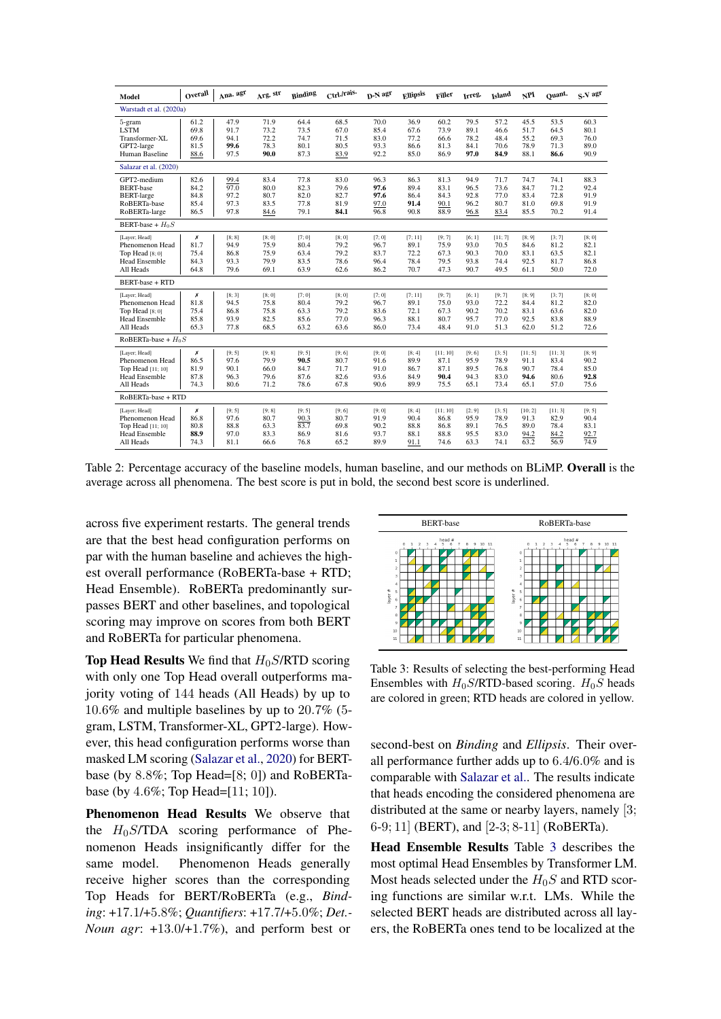<span id="page-6-0"></span>

| Model                                                                                      | Overall                              | Ana. agr                               | Arg. str                               | Binding                                | Ctrl./rais.                            | D-N agr                                | <b>Ellipsis</b>                         | <b>Filler</b>                            | Irreg.                                 | Island                                  | NPI                                     | Quant.                                  | S-V agr                                |
|--------------------------------------------------------------------------------------------|--------------------------------------|----------------------------------------|----------------------------------------|----------------------------------------|----------------------------------------|----------------------------------------|-----------------------------------------|------------------------------------------|----------------------------------------|-----------------------------------------|-----------------------------------------|-----------------------------------------|----------------------------------------|
| Warstadt et al. (2020a)                                                                    |                                      |                                        |                                        |                                        |                                        |                                        |                                         |                                          |                                        |                                         |                                         |                                         |                                        |
| 5-gram<br><b>LSTM</b><br>Transformer-XL<br>GPT2-large                                      | 61.2<br>69.8<br>69.6<br>81.5         | 47.9<br>91.7<br>94.1<br>99.6           | 71.9<br>73.2<br>72.2<br>78.3           | 64.4<br>73.5<br>74.7<br>80.1           | 68.5<br>67.0<br>71.5<br>80.5           | 70.0<br>85.4<br>83.0<br>93.3           | 36.9<br>67.6<br>77.2<br>86.6            | 60.2<br>73.9<br>66.6<br>81.3             | 79.5<br>89.1<br>78.2<br>84.1           | 57.2<br>46.6<br>48.4<br>70.6            | 45.5<br>51.7<br>55.2<br>78.9            | 53.5<br>64.5<br>69.3<br>71.3            | 60.3<br>80.1<br>76.0<br>89.0           |
| Human Baseline                                                                             | 88.6                                 | 97.5                                   | 90.0                                   | 87.3                                   | 83.9                                   | 92.2                                   | 85.0                                    | 86.9                                     | 97.0                                   | 84.9                                    | 88.1                                    | 86.6                                    | 90.9                                   |
| Salazar et al. (2020)                                                                      |                                      |                                        |                                        |                                        |                                        |                                        |                                         |                                          |                                        |                                         |                                         |                                         |                                        |
| GPT2-medium<br><b>BERT-base</b><br><b>BERT-large</b><br>RoBERTa-base<br>RoBERTa-large      | 82.6<br>84.2<br>84.8<br>85.4<br>86.5 | 99.4<br>97.0<br>97.2<br>97.3<br>97.8   | 83.4<br>80.0<br>80.7<br>83.5<br>84.6   | 77.8<br>82.3<br>82.0<br>77.8<br>79.1   | 83.0<br>79.6<br>82.7<br>81.9<br>84.1   | 96.3<br>97.6<br>97.6<br>97.0<br>96.8   | 86.3<br>89.4<br>86.4<br>91.4<br>90.8    | 81.3<br>83.1<br>84.3<br>90.1<br>88.9     | 94.9<br>96.5<br>92.8<br>96.2<br>96.8   | 71.7<br>73.6<br>77.0<br>80.7<br>83.4    | 74.7<br>84.7<br>83.4<br>81.0<br>85.5    | 74.1<br>71.2<br>72.8<br>69.8<br>70.2    | 88.3<br>92.4<br>91.9<br>91.9<br>91.4   |
| BERT-base + $H_0S$                                                                         |                                      |                                        |                                        |                                        |                                        |                                        |                                         |                                          |                                        |                                         |                                         |                                         |                                        |
| [Layer; Head]<br>Phenomenon Head<br>Top Head $[8;0]$<br><b>Head Ensemble</b><br>All Heads  | Х<br>81.7<br>75.4<br>84.3<br>64.8    | [8; 8]<br>94.9<br>86.8<br>93.3<br>79.6 | [8;0]<br>75.9<br>75.9<br>79.9<br>69.1  | [7;0]<br>80.4<br>63.4<br>83.5<br>63.9  | [8:0]<br>79.2<br>79.2<br>78.6<br>62.6  | [7; 0]<br>96.7<br>83.7<br>96.4<br>86.2 | [7; 11]<br>89.1<br>72.2<br>78.4<br>70.7 | [9; 7]<br>75.9<br>67.3<br>79.5<br>47.3   | [6; 1]<br>93.0<br>90.3<br>93.8<br>90.7 | [11; 7]<br>70.5<br>70.0<br>74.4<br>49.5 | [8; 9]<br>84.6<br>83.1<br>92.5<br>61.1  | [3; 7]<br>81.2<br>63.5<br>81.7<br>50.0  | [8;0]<br>82.1<br>82.1<br>86.8<br>72.0  |
| <b>BERT-base + RTD</b>                                                                     |                                      |                                        |                                        |                                        |                                        |                                        |                                         |                                          |                                        |                                         |                                         |                                         |                                        |
| [Layer; Head]<br>Phenomenon Head<br>Top Head $[8;0]$<br><b>Head Ensemble</b><br>All Heads  | Х<br>81.8<br>75.4<br>85.8<br>65.3    | [8; 3]<br>94.5<br>86.8<br>93.9<br>77.8 | [8;0]<br>75.8<br>75.8<br>82.5<br>68.5  | [7;0]<br>80.4<br>63.3<br>85.6<br>63.2  | [8;0]<br>79.2<br>79.2<br>77.0<br>63.6  | [7; 0]<br>96.7<br>83.6<br>96.3<br>86.0 | [7; 11]<br>89.1<br>72.1<br>88.1<br>73.4 | [9; 7]<br>75.0<br>67.3<br>80.7<br>48.4   | [6; 1]<br>93.0<br>90.2<br>95.7<br>91.0 | [9; 7]<br>72.2<br>70.2<br>77.0<br>51.3  | [8; 9]<br>84.4<br>83.1<br>92.5<br>62.0  | [3; 7]<br>81.2<br>63.6<br>83.8<br>51.2  | [8; 0]<br>82.0<br>82.0<br>88.9<br>72.6 |
| RoBERTa-base + $H_0S$                                                                      |                                      |                                        |                                        |                                        |                                        |                                        |                                         |                                          |                                        |                                         |                                         |                                         |                                        |
| [Layer; Head]<br>Phenomenon Head<br>Top Head [11; 10]<br><b>Head Ensemble</b><br>All Heads | Х<br>86.5<br>81.9<br>87.8<br>74.3    | [9; 5]<br>97.6<br>90.1<br>96.3<br>80.6 | [9; 8]<br>79.9<br>66.0<br>79.6<br>71.2 | [9; 5]<br>90.5<br>84.7<br>87.6<br>78.6 | [9; 6]<br>80.7<br>71.7<br>82.6<br>67.8 | [9; 0]<br>91.6<br>91.0<br>93.6<br>90.6 | [8; 4]<br>89.9<br>86.7<br>84.9<br>89.9  | [11; 10]<br>87.1<br>87.1<br>90.4<br>75.5 | [9; 6]<br>95.9<br>89.5<br>94.3<br>65.1 | [3:5]<br>78.9<br>76.8<br>83.0<br>73.4   | [11; 5]<br>91.1<br>90.7<br>94.6<br>65.1 | [11; 3]<br>83.4<br>78.4<br>80.6<br>57.0 | [8; 9]<br>90.2<br>85.0<br>92.8<br>75.6 |
| RoBERTa-base + RTD                                                                         |                                      |                                        |                                        |                                        |                                        |                                        |                                         |                                          |                                        |                                         |                                         |                                         |                                        |
| [Layer; Head]<br>Phenomenon Head<br>Top Head [11; 10]<br><b>Head Ensemble</b><br>All Heads | Х<br>86.8<br>80.8<br>88.9<br>74.3    | [9; 5]<br>97.6<br>88.8<br>97.0<br>81.1 | [9; 8]<br>80.7<br>63.3<br>83.3<br>66.6 | [9; 5]<br>90.3<br>83.7<br>86.9<br>76.8 | [9; 6]<br>80.7<br>69.8<br>81.6<br>65.2 | [9; 0]<br>91.9<br>90.2<br>93.7<br>89.9 | [8; 4]<br>90.4<br>88.8<br>88.1<br>91.1  | [11; 10]<br>86.8<br>86.8<br>88.8<br>74.6 | [2; 9]<br>95.9<br>89.1<br>95.5<br>63.3 | [3:5]<br>78.9<br>76.5<br>83.0<br>74.1   | [10; 2]<br>91.3<br>89.0<br>94.2<br>63.2 | [11; 3]<br>82.9<br>78.4<br>84.2<br>56.9 | [9; 5]<br>90.4<br>83.1<br>92.7<br>74.9 |

Table 2: Percentage accuracy of the baseline models, human baseline, and our methods on BLiMP. Overall is the average across all phenomena. The best score is put in bold, the second best score is underlined.

across five experiment restarts. The general trends are that the best head configuration performs on par with the human baseline and achieves the highest overall performance (RoBERTa-base + RTD; Head Ensemble). RoBERTa predominantly surpasses BERT and other baselines, and topological scoring may improve on scores from both BERT and RoBERTa for particular phenomena.

**Top Head Results** We find that  $H_0S/RTD$  scoring with only one Top Head overall outperforms majority voting of 144 heads (All Heads) by up to 10.6% and multiple baselines by up to 20.7% (5 gram, LSTM, Transformer-XL, GPT2-large). However, this head configuration performs worse than masked LM scoring [\(Salazar et al.,](#page-10-11) [2020\)](#page-10-11) for BERTbase (by 8.8%; Top Head=[8; 0]) and RoBERTabase (by 4.6%; Top Head=[11; 10]).

Phenomenon Head Results We observe that the  $H_0S/TDA$  scoring performance of Phenomenon Heads insignificantly differ for the same model. Phenomenon Heads generally receive higher scores than the corresponding Top Heads for BERT/RoBERTa (e.g., *Binding*: +17.1/+5.8%; *Quantifiers*: +17.7/+5.0%; *Det.- Noun agr*: +13.0/+1.7%), and perform best or

<span id="page-6-1"></span>

Table 3: Results of selecting the best-performing Head Ensembles with  $H_0S/RTD$ -based scoring.  $H_0S$  heads are colored in green; RTD heads are colored in yellow.

second-best on *Binding* and *Ellipsis*. Their overall performance further adds up to 6.4/6.0% and is comparable with [Salazar et al..](#page-10-11) The results indicate that heads encoding the considered phenomena are distributed at the same or nearby layers, namely [3; 6-9; 11] (BERT), and [2-3; 8-11] (RoBERTa).

Head Ensemble Results Table [3](#page-6-1) describes the most optimal Head Ensembles by Transformer LM. Most heads selected under the  $H_0S$  and RTD scoring functions are similar w.r.t. LMs. While the selected BERT heads are distributed across all layers, the RoBERTa ones tend to be localized at the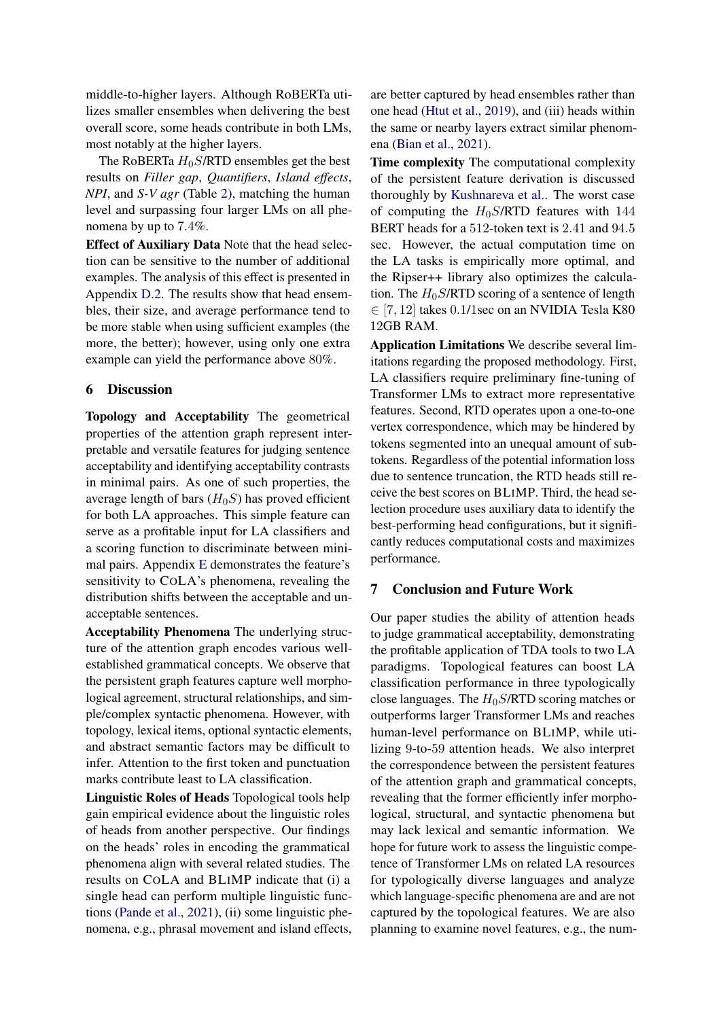middle-to-higher layers. Although RoBERTa utilizes smaller ensembles when delivering the best overall score, some heads contribute in both LMs, most notably at the higher layers.

The RoBERTa  $H_0S$ /RTD ensembles get the best results on *Filler gap*, *Quantifiers*, *Island effects*, *NPI*, and *S-V agr* (Table [2\)](#page-6-0), matching the human level and surpassing four larger LMs on all phenomena by up to 7.4%.

Effect of Auxiliary Data Note that the head selection can be sensitive to the number of additional examples. The analysis of this effect is presented in Appendix [D.2.](#page-14-1) The results show that head ensembles, their size, and average performance tend to be more stable when using sufficient examples (the more, the better); however, using only one extra example can yield the performance above 80%.

## <span id="page-7-0"></span>6 Discussion

Topology and Acceptability The geometrical properties of the attention graph represent interpretable and versatile features for judging sentence acceptability and identifying acceptability contrasts in minimal pairs. As one of such properties, the average length of bars  $(H_0S)$  has proved efficient for both LA approaches. This simple feature can serve as a profitable input for LA classifiers and a scoring function to discriminate between minimal pairs. Appendix [E](#page-15-0) demonstrates the feature's sensitivity to COLA's phenomena, revealing the distribution shifts between the acceptable and unacceptable sentences.

Acceptability Phenomena The underlying structure of the attention graph encodes various wellestablished grammatical concepts. We observe that the persistent graph features capture well morphological agreement, structural relationships, and simple/complex syntactic phenomena. However, with topology, lexical items, optional syntactic elements, and abstract semantic factors may be difficult to infer. Attention to the first token and punctuation marks contribute least to LA classification.

Linguistic Roles of Heads Topological tools help gain empirical evidence about the linguistic roles of heads from another perspective. Our findings on the heads' roles in encoding the grammatical phenomena align with several related studies. The results on COLA and BLIMP indicate that (i) a single head can perform multiple linguistic functions [\(Pande et al.,](#page-10-7) [2021\)](#page-10-7), (ii) some linguistic phenomena, e.g., phrasal movement and island effects, are better captured by head ensembles rather than one head [\(Htut et al.,](#page-9-2) [2019\)](#page-9-2), and (iii) heads within the same or nearby layers extract similar phenomena [\(Bian et al.,](#page-8-13) [2021\)](#page-8-13).

Time complexity The computational complexity of the persistent feature derivation is discussed thoroughly by [Kushnareva et al..](#page-9-14) The worst case of computing the  $H_0S/RTD$  features with 144 BERT heads for a 512-token text is 2.41 and 94.5 sec. However, the actual computation time on the LA tasks is empirically more optimal, and the Ripser++ library also optimizes the calculation. The  $H_0S/RTD$  scoring of a sentence of length ∈ [7, 12] takes 0.1/1sec on an NVIDIA Tesla K80 12GB RAM.

Application Limitations We describe several limitations regarding the proposed methodology. First, LA classifiers require preliminary fine-tuning of Transformer LMs to extract more representative features. Second, RTD operates upon a one-to-one vertex correspondence, which may be hindered by tokens segmented into an unequal amount of subtokens. Regardless of the potential information loss due to sentence truncation, the RTD heads still receive the best scores on BLIMP. Third, the head selection procedure uses auxiliary data to identify the best-performing head configurations, but it significantly reduces computational costs and maximizes performance.

## 7 Conclusion and Future Work

Our paper studies the ability of attention heads to judge grammatical acceptability, demonstrating the profitable application of TDA tools to two LA paradigms. Topological features can boost LA classification performance in three typologically close languages. The  $H_0S/RTD$  scoring matches or outperforms larger Transformer LMs and reaches human-level performance on BLIMP, while utilizing 9-to-59 attention heads. We also interpret the correspondence between the persistent features of the attention graph and grammatical concepts, revealing that the former efficiently infer morphological, structural, and syntactic phenomena but may lack lexical and semantic information. We hope for future work to assess the linguistic competence of Transformer LMs on related LA resources for typologically diverse languages and analyze which language-specific phenomena are and are not captured by the topological features. We are also planning to examine novel features, e.g., the num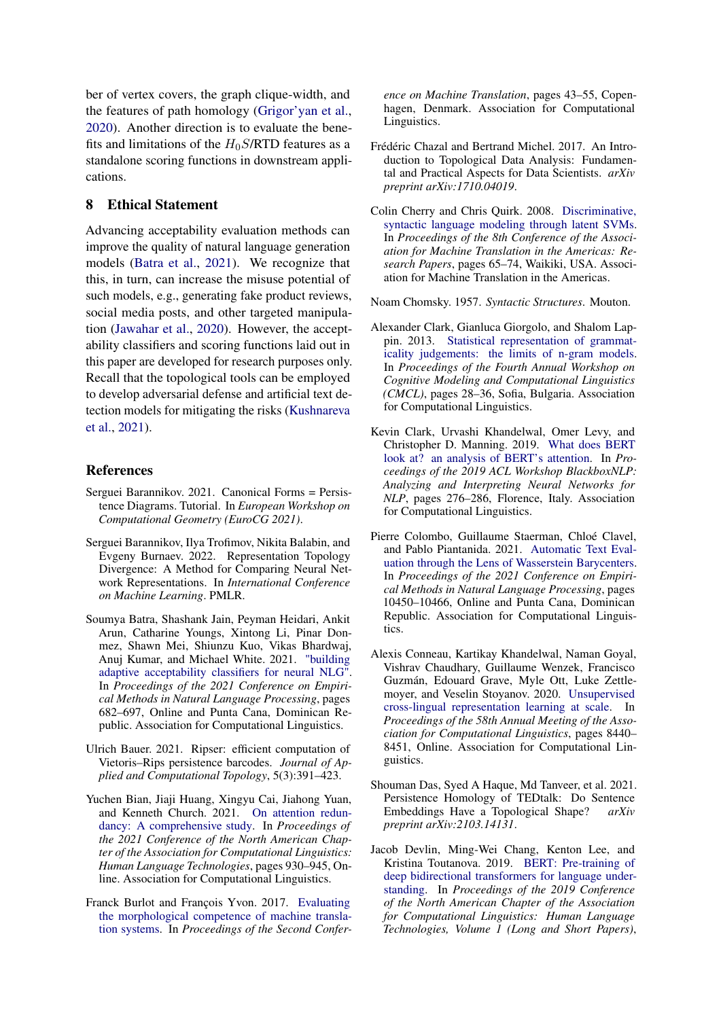ber of vertex covers, the graph clique-width, and the features of path homology [\(Grigor'yan et al.,](#page-9-18) [2020\)](#page-9-18). Another direction is to evaluate the benefits and limitations of the  $H_0S/RTD$  features as a standalone scoring functions in downstream applications.

## 8 Ethical Statement

Advancing acceptability evaluation methods can improve the quality of natural language generation models [\(Batra et al.,](#page-8-14) [2021\)](#page-8-14). We recognize that this, in turn, can increase the misuse potential of such models, e.g., generating fake product reviews, social media posts, and other targeted manipulation [\(Jawahar et al.,](#page-9-19) [2020\)](#page-9-19). However, the acceptability classifiers and scoring functions laid out in this paper are developed for research purposes only. Recall that the topological tools can be employed to develop adversarial defense and artificial text detection models for mitigating the risks [\(Kushnareva](#page-9-14) [et al.,](#page-9-14) [2021\)](#page-9-14).

## References

- <span id="page-8-9"></span>Serguei Barannikov. 2021. Canonical Forms = Persistence Diagrams. Tutorial. In *European Workshop on Computational Geometry (EuroCG 2021)*.
- <span id="page-8-11"></span>Serguei Barannikov, Ilya Trofimov, Nikita Balabin, and Evgeny Burnaev. 2022. Representation Topology Divergence: A Method for Comparing Neural Network Representations. In *International Conference on Machine Learning*. PMLR.
- <span id="page-8-14"></span>Soumya Batra, Shashank Jain, Peyman Heidari, Ankit Arun, Catharine Youngs, Xintong Li, Pinar Donmez, Shawn Mei, Shiunzu Kuo, Vikas Bhardwaj, Anuj Kumar, and Michael White. 2021. ["building](https://doi.org/10.18653/v1/2021.emnlp-main.53) [adaptive acceptability classifiers for neural NLG".](https://doi.org/10.18653/v1/2021.emnlp-main.53) In *Proceedings of the 2021 Conference on Empirical Methods in Natural Language Processing*, pages 682–697, Online and Punta Cana, Dominican Republic. Association for Computational Linguistics.
- <span id="page-8-10"></span>Ulrich Bauer. 2021. Ripser: efficient computation of Vietoris–Rips persistence barcodes. *Journal of Applied and Computational Topology*, 5(3):391–423.
- <span id="page-8-13"></span>Yuchen Bian, Jiaji Huang, Xingyu Cai, Jiahong Yuan, and Kenneth Church. 2021. [On attention redun](https://doi.org/10.18653/v1/2021.naacl-main.72)[dancy: A comprehensive study.](https://doi.org/10.18653/v1/2021.naacl-main.72) In *Proceedings of the 2021 Conference of the North American Chapter of the Association for Computational Linguistics: Human Language Technologies*, pages 930–945, Online. Association for Computational Linguistics.
- <span id="page-8-5"></span>Franck Burlot and François Yvon. 2017. [Evaluating](https://doi.org/10.18653/v1/W17-4705) [the morphological competence of machine transla](https://doi.org/10.18653/v1/W17-4705)[tion systems.](https://doi.org/10.18653/v1/W17-4705) In *Proceedings of the Second Confer-*

*ence on Machine Translation*, pages 43–55, Copenhagen, Denmark. Association for Computational Linguistics.

- <span id="page-8-2"></span>Frédéric Chazal and Bertrand Michel. 2017. An Introduction to Topological Data Analysis: Fundamental and Practical Aspects for Data Scientists. *arXiv preprint arXiv:1710.04019*.
- <span id="page-8-3"></span>Colin Cherry and Chris Quirk. 2008. [Discriminative,](https://aclanthology.org/2008.amta-papers.4) [syntactic language modeling through latent SVMs.](https://aclanthology.org/2008.amta-papers.4) In *Proceedings of the 8th Conference of the Association for Machine Translation in the Americas: Research Papers*, pages 65–74, Waikiki, USA. Association for Machine Translation in the Americas.

<span id="page-8-0"></span>Noam Chomsky. 1957. *Syntactic Structures*. Mouton.

- <span id="page-8-4"></span>Alexander Clark, Gianluca Giorgolo, and Shalom Lappin. 2013. [Statistical representation of grammat](https://aclanthology.org/W13-2604)[icality judgements: the limits of n-gram models.](https://aclanthology.org/W13-2604) In *Proceedings of the Fourth Annual Workshop on Cognitive Modeling and Computational Linguistics (CMCL)*, pages 28–36, Sofia, Bulgaria. Association for Computational Linguistics.
- <span id="page-8-1"></span>Kevin Clark, Urvashi Khandelwal, Omer Levy, and Christopher D. Manning. 2019. [What does BERT](https://doi.org/10.18653/v1/W19-4828) [look at? an analysis of BERT's attention.](https://doi.org/10.18653/v1/W19-4828) In *Proceedings of the 2019 ACL Workshop BlackboxNLP: Analyzing and Interpreting Neural Networks for NLP*, pages 276–286, Florence, Italy. Association for Computational Linguistics.
- <span id="page-8-7"></span>Pierre Colombo, Guillaume Staerman, Chloé Clavel, and Pablo Piantanida. 2021. [Automatic Text Eval](https://doi.org/10.18653/v1/2021.emnlp-main.817)[uation through the Lens of Wasserstein Barycenters.](https://doi.org/10.18653/v1/2021.emnlp-main.817) In *Proceedings of the 2021 Conference on Empirical Methods in Natural Language Processing*, pages 10450–10466, Online and Punta Cana, Dominican Republic. Association for Computational Linguistics.
- <span id="page-8-12"></span>Alexis Conneau, Kartikay Khandelwal, Naman Goyal, Vishrav Chaudhary, Guillaume Wenzek, Francisco Guzmán, Edouard Grave, Myle Ott, Luke Zettlemoyer, and Veselin Stoyanov. 2020. [Unsupervised](https://doi.org/10.18653/v1/2020.acl-main.747) [cross-lingual representation learning at scale.](https://doi.org/10.18653/v1/2020.acl-main.747) In *Proceedings of the 58th Annual Meeting of the Association for Computational Linguistics*, pages 8440– 8451, Online. Association for Computational Linguistics.
- <span id="page-8-6"></span>Shouman Das, Syed A Haque, Md Tanveer, et al. 2021. Persistence Homology of TEDtalk: Do Sentence Embeddings Have a Topological Shape? *arXiv preprint arXiv:2103.14131*.
- <span id="page-8-8"></span>Jacob Devlin, Ming-Wei Chang, Kenton Lee, and Kristina Toutanova. 2019. [BERT: Pre-training of](https://doi.org/10.18653/v1/N19-1423) [deep bidirectional transformers for language under](https://doi.org/10.18653/v1/N19-1423)[standing.](https://doi.org/10.18653/v1/N19-1423) In *Proceedings of the 2019 Conference of the North American Chapter of the Association for Computational Linguistics: Human Language Technologies, Volume 1 (Long and Short Papers)*,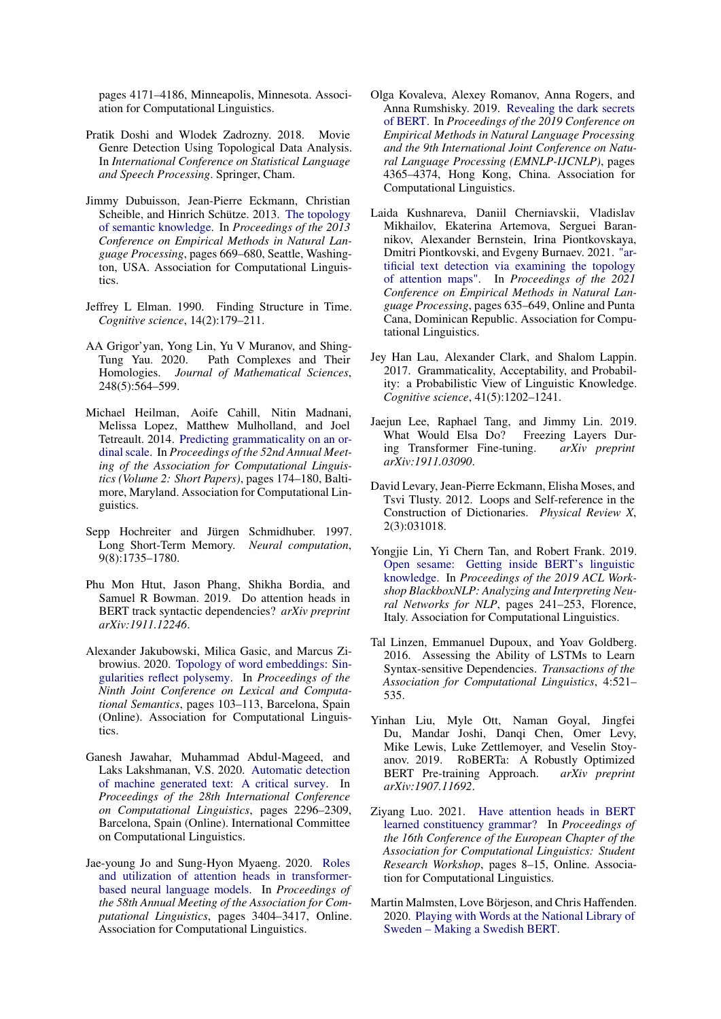pages 4171–4186, Minneapolis, Minnesota. Association for Computational Linguistics.

- <span id="page-9-13"></span>Pratik Doshi and Wlodek Zadrozny. 2018. Movie Genre Detection Using Topological Data Analysis. In *International Conference on Statistical Language and Speech Processing*. Springer, Cham.
- <span id="page-9-11"></span>Jimmy Dubuisson, Jean-Pierre Eckmann, Christian Scheible, and Hinrich Schütze. 2013. [The topology](https://aclanthology.org/D13-1063) [of semantic knowledge.](https://aclanthology.org/D13-1063) In *Proceedings of the 2013 Conference on Empirical Methods in Natural Language Processing*, pages 669–680, Seattle, Washington, USA. Association for Computational Linguistics.
- <span id="page-9-8"></span>Jeffrey L Elman. 1990. Finding Structure in Time. *Cognitive science*, 14(2):179–211.
- <span id="page-9-18"></span>AA Grigor'yan, Yong Lin, Yu V Muranov, and Shing-Tung Yau. 2020. Path Complexes and Their Homologies. *Journal of Mathematical Sciences*, 248(5):564–599.
- <span id="page-9-7"></span>Michael Heilman, Aoife Cahill, Nitin Madnani, Melissa Lopez, Matthew Mulholland, and Joel Tetreault. 2014. [Predicting grammaticality on an or](https://doi.org/10.3115/v1/P14-2029)[dinal scale.](https://doi.org/10.3115/v1/P14-2029) In *Proceedings of the 52nd Annual Meeting of the Association for Computational Linguistics (Volume 2: Short Papers)*, pages 174–180, Baltimore, Maryland. Association for Computational Linguistics.
- <span id="page-9-9"></span>Sepp Hochreiter and Jürgen Schmidhuber. 1997. Long Short-Term Memory. *Neural computation*, 9(8):1735–1780.
- <span id="page-9-2"></span>Phu Mon Htut, Jason Phang, Shikha Bordia, and Samuel R Bowman. 2019. Do attention heads in BERT track syntactic dependencies? *arXiv preprint arXiv:1911.12246*.
- <span id="page-9-12"></span>Alexander Jakubowski, Milica Gasic, and Marcus Zibrowius. 2020. [Topology of word embeddings: Sin](https://aclanthology.org/2020.starsem-1.11)[gularities reflect polysemy.](https://aclanthology.org/2020.starsem-1.11) In *Proceedings of the Ninth Joint Conference on Lexical and Computational Semantics*, pages 103–113, Barcelona, Spain (Online). Association for Computational Linguistics.
- <span id="page-9-19"></span>Ganesh Jawahar, Muhammad Abdul-Mageed, and Laks Lakshmanan, V.S. 2020. [Automatic detection](https://doi.org/10.18653/v1/2020.coling-main.208) [of machine generated text: A critical survey.](https://doi.org/10.18653/v1/2020.coling-main.208) In *Proceedings of the 28th International Conference on Computational Linguistics*, pages 2296–2309, Barcelona, Spain (Online). International Committee on Computational Linguistics.
- <span id="page-9-3"></span>Jae-young Jo and Sung-Hyon Myaeng. 2020. [Roles](https://doi.org/10.18653/v1/2020.acl-main.311) [and utilization of attention heads in transformer](https://doi.org/10.18653/v1/2020.acl-main.311)[based neural language models.](https://doi.org/10.18653/v1/2020.acl-main.311) In *Proceedings of the 58th Annual Meeting of the Association for Computational Linguistics*, pages 3404–3417, Online. Association for Computational Linguistics.
- <span id="page-9-6"></span>Olga Kovaleva, Alexey Romanov, Anna Rogers, and Anna Rumshisky. 2019. [Revealing the dark secrets](https://doi.org/10.18653/v1/D19-1445) [of BERT.](https://doi.org/10.18653/v1/D19-1445) In *Proceedings of the 2019 Conference on Empirical Methods in Natural Language Processing and the 9th International Joint Conference on Natural Language Processing (EMNLP-IJCNLP)*, pages 4365–4374, Hong Kong, China. Association for Computational Linguistics.
- <span id="page-9-14"></span>Laida Kushnareva, Daniil Cherniavskii, Vladislav Mikhailov, Ekaterina Artemova, Serguei Barannikov, Alexander Bernstein, Irina Piontkovskaya, Dmitri Piontkovski, and Evgeny Burnaev. 2021. ["ar](https://doi.org/10.18653/v1/2021.emnlp-main.50)[tificial text detection via examining the topology](https://doi.org/10.18653/v1/2021.emnlp-main.50) [of attention maps".](https://doi.org/10.18653/v1/2021.emnlp-main.50) In *Proceedings of the 2021 Conference on Empirical Methods in Natural Language Processing*, pages 635–649, Online and Punta Cana, Dominican Republic. Association for Computational Linguistics.
- <span id="page-9-1"></span>Jey Han Lau, Alexander Clark, and Shalom Lappin. 2017. Grammaticality, Acceptability, and Probability: a Probabilistic View of Linguistic Knowledge. *Cognitive science*, 41(5):1202–1241.
- <span id="page-9-16"></span>Jaejun Lee, Raphael Tang, and Jimmy Lin. 2019. What Would Elsa Do? Freezing Layers During Transformer Fine-tuning. *arXiv preprint arXiv:1911.03090*.
- <span id="page-9-10"></span>David Levary, Jean-Pierre Eckmann, Elisha Moses, and Tsvi Tlusty. 2012. Loops and Self-reference in the Construction of Dictionaries. *Physical Review X*, 2(3):031018.
- <span id="page-9-4"></span>Yongjie Lin, Yi Chern Tan, and Robert Frank. 2019. [Open sesame: Getting inside BERT's linguistic](https://doi.org/10.18653/v1/W19-4825) [knowledge.](https://doi.org/10.18653/v1/W19-4825) In *Proceedings of the 2019 ACL Workshop BlackboxNLP: Analyzing and Interpreting Neural Networks for NLP*, pages 241–253, Florence, Italy. Association for Computational Linguistics.
- <span id="page-9-0"></span>Tal Linzen, Emmanuel Dupoux, and Yoav Goldberg. 2016. Assessing the Ability of LSTMs to Learn Syntax-sensitive Dependencies. *Transactions of the Association for Computational Linguistics*, 4:521– 535.
- <span id="page-9-17"></span>Yinhan Liu, Myle Ott, Naman Goyal, Jingfei Du, Mandar Joshi, Danqi Chen, Omer Levy, Mike Lewis, Luke Zettlemoyer, and Veselin Stoyanov. 2019. RoBERTa: A Robustly Optimized BERT Pre-training Approach. *arXiv preprint arXiv:1907.11692*.
- <span id="page-9-5"></span>Ziyang Luo. 2021. [Have attention heads in BERT](https://aclanthology.org/2021.eacl-srw.2) [learned constituency grammar?](https://aclanthology.org/2021.eacl-srw.2) In *Proceedings of the 16th Conference of the European Chapter of the Association for Computational Linguistics: Student Research Workshop*, pages 8–15, Online. Association for Computational Linguistics.
- <span id="page-9-15"></span>Martin Malmsten, Love Börjeson, and Chris Haffenden. 2020. [Playing with Words at the National Library of](http://arxiv.org/abs/2007.01658) [Sweden – Making a Swedish BERT.](http://arxiv.org/abs/2007.01658)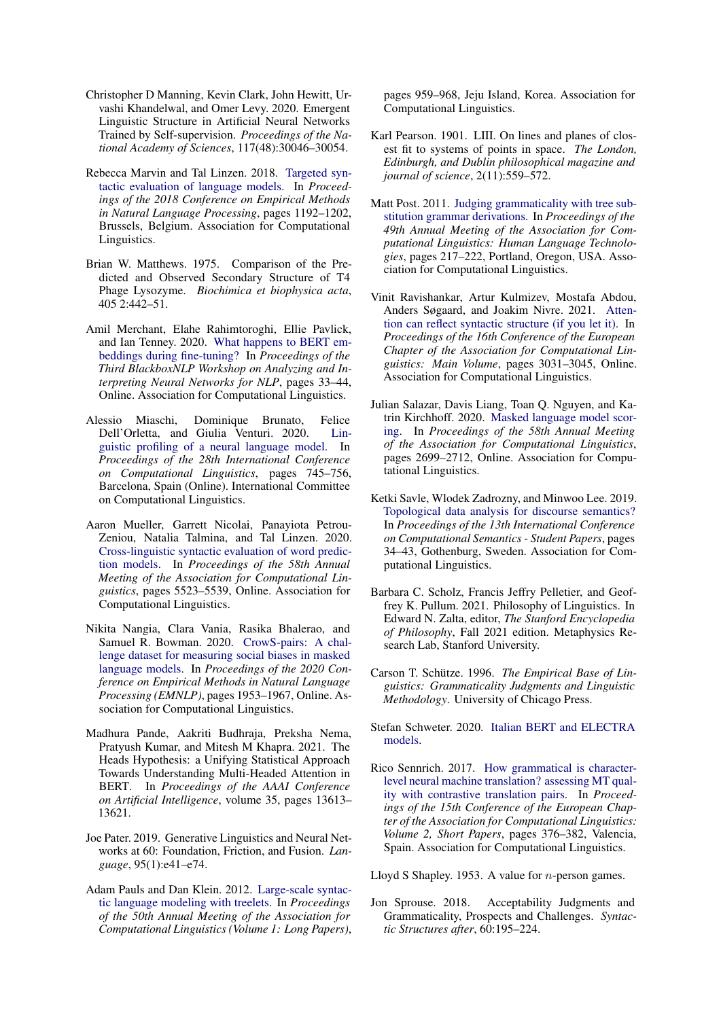- <span id="page-10-3"></span>Christopher D Manning, Kevin Clark, John Hewitt, Urvashi Khandelwal, and Omer Levy. 2020. Emergent Linguistic Structure in Artificial Neural Networks Trained by Self-supervision. *Proceedings of the National Academy of Sciences*, 117(48):30046–30054.
- <span id="page-10-14"></span>Rebecca Marvin and Tal Linzen. 2018. [Targeted syn](https://doi.org/10.18653/v1/D18-1151)[tactic evaluation of language models.](https://doi.org/10.18653/v1/D18-1151) In *Proceedings of the 2018 Conference on Empirical Methods in Natural Language Processing*, pages 1192–1202, Brussels, Belgium. Association for Computational Linguistics.
- <span id="page-10-18"></span>Brian W. Matthews. 1975. Comparison of the Predicted and Observed Secondary Structure of T4 Phage Lysozyme. *Biochimica et biophysica acta*, 405 2:442–51.
- <span id="page-10-1"></span>Amil Merchant, Elahe Rahimtoroghi, Ellie Pavlick, and Ian Tenney. 2020. [What happens to BERT em](https://doi.org/10.18653/v1/2020.blackboxnlp-1.4)[beddings during fine-tuning?](https://doi.org/10.18653/v1/2020.blackboxnlp-1.4) In *Proceedings of the Third BlackboxNLP Workshop on Analyzing and Interpreting Neural Networks for NLP*, pages 33–44, Online. Association for Computational Linguistics.
- <span id="page-10-0"></span>Alessio Miaschi, Dominique Brunato, Felice Dell'Orletta, and Giulia Venturi. 2020. [Lin](https://doi.org/10.18653/v1/2020.coling-main.65)[guistic profiling of a neural language model.](https://doi.org/10.18653/v1/2020.coling-main.65) In *Proceedings of the 28th International Conference on Computational Linguistics*, pages 745–756, Barcelona, Spain (Online). International Committee on Computational Linguistics.
- <span id="page-10-15"></span>Aaron Mueller, Garrett Nicolai, Panayiota Petrou-Zeniou, Natalia Talmina, and Tal Linzen. 2020. [Cross-linguistic syntactic evaluation of word predic](https://doi.org/10.18653/v1/2020.acl-main.490)[tion models.](https://doi.org/10.18653/v1/2020.acl-main.490) In *Proceedings of the 58th Annual Meeting of the Association for Computational Linguistics*, pages 5523–5539, Online. Association for Computational Linguistics.
- <span id="page-10-12"></span>Nikita Nangia, Clara Vania, Rasika Bhalerao, and Samuel R. Bowman. 2020. [CrowS-pairs: A chal](https://doi.org/10.18653/v1/2020.emnlp-main.154)[lenge dataset for measuring social biases in masked](https://doi.org/10.18653/v1/2020.emnlp-main.154) [language models.](https://doi.org/10.18653/v1/2020.emnlp-main.154) In *Proceedings of the 2020 Conference on Empirical Methods in Natural Language Processing (EMNLP)*, pages 1953–1967, Online. Association for Computational Linguistics.
- <span id="page-10-7"></span>Madhura Pande, Aakriti Budhraja, Preksha Nema, Pratyush Kumar, and Mitesh M Khapra. 2021. The Heads Hypothesis: a Unifying Statistical Approach Towards Understanding Multi-Headed Attention in BERT. In *Proceedings of the AAAI Conference on Artificial Intelligence*, volume 35, pages 13613– 13621.
- <span id="page-10-2"></span>Joe Pater. 2019. Generative Linguistics and Neural Networks at 60: Foundation, Friction, and Fusion. *Language*, 95(1):e41–e74.
- <span id="page-10-10"></span>Adam Pauls and Dan Klein. 2012. [Large-scale syntac](https://aclanthology.org/P12-1101)[tic language modeling with treelets.](https://aclanthology.org/P12-1101) In *Proceedings of the 50th Annual Meeting of the Association for Computational Linguistics (Volume 1: Long Papers)*,

pages 959–968, Jeju Island, Korea. Association for Computational Linguistics.

- <span id="page-10-19"></span>Karl Pearson. 1901. LIII. On lines and planes of closest fit to systems of points in space. *The London, Edinburgh, and Dublin philosophical magazine and journal of science*, 2(11):559–572.
- <span id="page-10-9"></span>Matt Post. 2011. [Judging grammaticality with tree sub](https://aclanthology.org/P11-2038)[stitution grammar derivations.](https://aclanthology.org/P11-2038) In *Proceedings of the 49th Annual Meeting of the Association for Computational Linguistics: Human Language Technologies*, pages 217–222, Portland, Oregon, USA. Association for Computational Linguistics.
- <span id="page-10-8"></span>Vinit Ravishankar, Artur Kulmizev, Mostafa Abdou, Anders Søgaard, and Joakim Nivre. 2021. [Atten](https://aclanthology.org/2021.eacl-main.264)[tion can reflect syntactic structure \(if you let it\).](https://aclanthology.org/2021.eacl-main.264) In *Proceedings of the 16th Conference of the European Chapter of the Association for Computational Linguistics: Main Volume*, pages 3031–3045, Online. Association for Computational Linguistics.
- <span id="page-10-11"></span>Julian Salazar, Davis Liang, Toan Q. Nguyen, and Katrin Kirchhoff. 2020. [Masked language model scor](https://doi.org/10.18653/v1/2020.acl-main.240)[ing.](https://doi.org/10.18653/v1/2020.acl-main.240) In *Proceedings of the 58th Annual Meeting of the Association for Computational Linguistics*, pages 2699–2712, Online. Association for Computational Linguistics.
- <span id="page-10-16"></span>Ketki Savle, Wlodek Zadrozny, and Minwoo Lee. 2019. [Topological data analysis for discourse semantics?](https://doi.org/10.18653/v1/W19-0605) In *Proceedings of the 13th International Conference on Computational Semantics - Student Papers*, pages 34–43, Gothenburg, Sweden. Association for Computational Linguistics.
- <span id="page-10-5"></span>Barbara C. Scholz, Francis Jeffry Pelletier, and Geoffrey K. Pullum. 2021. Philosophy of Linguistics. In Edward N. Zalta, editor, *The Stanford Encyclopedia of Philosophy*, Fall 2021 edition. Metaphysics Research Lab, Stanford University.
- <span id="page-10-4"></span>Carson T. Schütze. 1996. *The Empirical Base of Linguistics: Grammaticality Judgments and Linguistic Methodology*. University of Chicago Press.
- <span id="page-10-17"></span>Stefan Schweter. 2020. [Italian BERT and ELECTRA](https://doi.org/10.5281/zenodo.4263142) [models.](https://doi.org/10.5281/zenodo.4263142)
- <span id="page-10-13"></span>Rico Sennrich. 2017. [How grammatical is character](https://aclanthology.org/E17-2060)[level neural machine translation? assessing MT qual](https://aclanthology.org/E17-2060)[ity with contrastive translation pairs.](https://aclanthology.org/E17-2060) In *Proceedings of the 15th Conference of the European Chapter of the Association for Computational Linguistics: Volume 2, Short Papers*, pages 376–382, Valencia, Spain. Association for Computational Linguistics.

<span id="page-10-20"></span>Lloyd S Shapley. 1953. A value for  $n$ -person games.

<span id="page-10-6"></span>Jon Sprouse. 2018. Acceptability Judgments and Grammaticality, Prospects and Challenges. *Syntactic Structures after*, 60:195–224.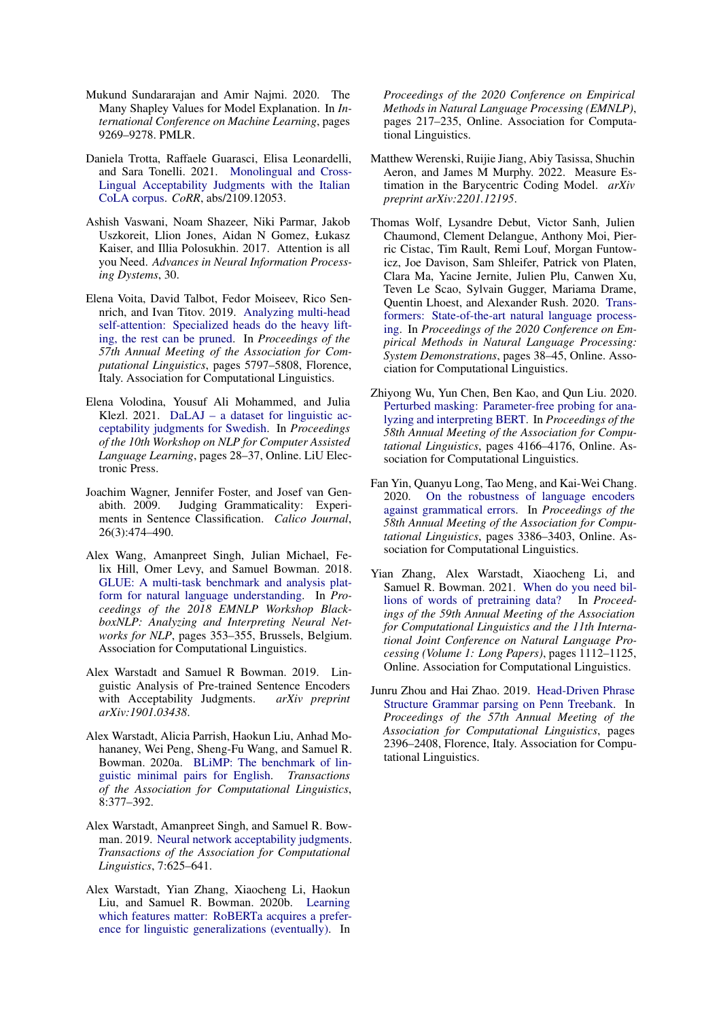- <span id="page-11-14"></span>Mukund Sundararajan and Amir Najmi. 2020. The Many Shapley Values for Model Explanation. In *International Conference on Machine Learning*, pages 9269–9278. PMLR.
- <span id="page-11-12"></span>Daniela Trotta, Raffaele Guarasci, Elisa Leonardelli, and Sara Tonelli. 2021. [Monolingual and Cross-](http://arxiv.org/abs/2109.12053)[Lingual Acceptability Judgments with the Italian](http://arxiv.org/abs/2109.12053) [CoLA corpus.](http://arxiv.org/abs/2109.12053) *CoRR*, abs/2109.12053.
- <span id="page-11-0"></span>Ashish Vaswani, Noam Shazeer, Niki Parmar, Jakob Uszkoreit, Llion Jones, Aidan N Gomez, Łukasz Kaiser, and Illia Polosukhin. 2017. Attention is all you Need. *Advances in Neural Information Processing Dystems*, 30.
- <span id="page-11-5"></span>Elena Voita, David Talbot, Fedor Moiseev, Rico Sennrich, and Ivan Titov. 2019. [Analyzing multi-head](https://doi.org/10.18653/v1/P19-1580) [self-attention: Specialized heads do the heavy lift](https://doi.org/10.18653/v1/P19-1580)[ing, the rest can be pruned.](https://doi.org/10.18653/v1/P19-1580) In *Proceedings of the 57th Annual Meeting of the Association for Computational Linguistics*, pages 5797–5808, Florence, Italy. Association for Computational Linguistics.
- <span id="page-11-13"></span>Elena Volodina, Yousuf Ali Mohammed, and Julia Klezl. 2021. [DaLAJ – a dataset for linguistic ac](https://aclanthology.org/2021.nlp4call-1.3)[ceptability judgments for Swedish.](https://aclanthology.org/2021.nlp4call-1.3) In *Proceedings of the 10th Workshop on NLP for Computer Assisted Language Learning*, pages 28–37, Online. LiU Electronic Press.
- <span id="page-11-7"></span>Joachim Wagner, Jennifer Foster, and Josef van Genabith. 2009. Judging Grammaticality: Experiments in Sentence Classification. *Calico Journal*, 26(3):474–490.
- <span id="page-11-9"></span>Alex Wang, Amanpreet Singh, Julian Michael, Felix Hill, Omer Levy, and Samuel Bowman. 2018. [GLUE: A multi-task benchmark and analysis plat](https://doi.org/10.18653/v1/W18-5446)[form for natural language understanding.](https://doi.org/10.18653/v1/W18-5446) In *Proceedings of the 2018 EMNLP Workshop BlackboxNLP: Analyzing and Interpreting Neural Networks for NLP*, pages 353–355, Brussels, Belgium. Association for Computational Linguistics.
- <span id="page-11-10"></span>Alex Warstadt and Samuel R Bowman. 2019. Linguistic Analysis of Pre-trained Sentence Encoders with Acceptability Judgments. *arXiv preprint arXiv:1901.03438*.
- <span id="page-11-15"></span>Alex Warstadt, Alicia Parrish, Haokun Liu, Anhad Mohananey, Wei Peng, Sheng-Fu Wang, and Samuel R. Bowman. 2020a. [BLiMP: The benchmark of lin](https://doi.org/10.1162/tacl_a_00321)[guistic minimal pairs for English.](https://doi.org/10.1162/tacl_a_00321) *Transactions of the Association for Computational Linguistics*, 8:377–392.
- <span id="page-11-3"></span>Alex Warstadt, Amanpreet Singh, and Samuel R. Bowman. 2019. [Neural network acceptability judgments.](https://doi.org/10.1162/tacl_a_00290) *Transactions of the Association for Computational Linguistics*, 7:625–641.
- <span id="page-11-1"></span>Alex Warstadt, Yian Zhang, Xiaocheng Li, Haokun Liu, and Samuel R. Bowman. 2020b. [Learning](https://doi.org/10.18653/v1/2020.emnlp-main.16) [which features matter: RoBERTa acquires a prefer](https://doi.org/10.18653/v1/2020.emnlp-main.16)[ence for linguistic generalizations \(eventually\).](https://doi.org/10.18653/v1/2020.emnlp-main.16) In

*Proceedings of the 2020 Conference on Empirical Methods in Natural Language Processing (EMNLP)*, pages 217–235, Online. Association for Computational Linguistics.

- <span id="page-11-11"></span>Matthew Werenski, Ruijie Jiang, Abiy Tasissa, Shuchin Aeron, and James M Murphy. 2022. Measure Estimation in the Barycentric Coding Model. *arXiv preprint arXiv:2201.12195*.
- <span id="page-11-16"></span>Thomas Wolf, Lysandre Debut, Victor Sanh, Julien Chaumond, Clement Delangue, Anthony Moi, Pierric Cistac, Tim Rault, Remi Louf, Morgan Funtowicz, Joe Davison, Sam Shleifer, Patrick von Platen, Clara Ma, Yacine Jernite, Julien Plu, Canwen Xu, Teven Le Scao, Sylvain Gugger, Mariama Drame, Quentin Lhoest, and Alexander Rush. 2020. [Trans](https://doi.org/10.18653/v1/2020.emnlp-demos.6)[formers: State-of-the-art natural language process](https://doi.org/10.18653/v1/2020.emnlp-demos.6)[ing.](https://doi.org/10.18653/v1/2020.emnlp-demos.6) In *Proceedings of the 2020 Conference on Empirical Methods in Natural Language Processing: System Demonstrations*, pages 38–45, Online. Association for Computational Linguistics.
- <span id="page-11-4"></span>Zhiyong Wu, Yun Chen, Ben Kao, and Qun Liu. 2020. [Perturbed masking: Parameter-free probing for ana](https://doi.org/10.18653/v1/2020.acl-main.383)[lyzing and interpreting BERT.](https://doi.org/10.18653/v1/2020.acl-main.383) In *Proceedings of the 58th Annual Meeting of the Association for Computational Linguistics*, pages 4166–4176, Online. Association for Computational Linguistics.
- <span id="page-11-8"></span>Fan Yin, Quanyu Long, Tao Meng, and Kai-Wei Chang. 2020. [On the robustness of language encoders](https://doi.org/10.18653/v1/2020.acl-main.310) [against grammatical errors.](https://doi.org/10.18653/v1/2020.acl-main.310) In *Proceedings of the 58th Annual Meeting of the Association for Computational Linguistics*, pages 3386–3403, Online. Association for Computational Linguistics.
- <span id="page-11-2"></span>Yian Zhang, Alex Warstadt, Xiaocheng Li, and Samuel R. Bowman. 2021. [When do you need bil](https://doi.org/10.18653/v1/2021.acl-long.90)[lions of words of pretraining data?](https://doi.org/10.18653/v1/2021.acl-long.90) In *Proceedings of the 59th Annual Meeting of the Association for Computational Linguistics and the 11th International Joint Conference on Natural Language Processing (Volume 1: Long Papers)*, pages 1112–1125, Online. Association for Computational Linguistics.
- <span id="page-11-6"></span>Junru Zhou and Hai Zhao. 2019. [Head-Driven Phrase](https://doi.org/10.18653/v1/P19-1230) [Structure Grammar parsing on Penn Treebank.](https://doi.org/10.18653/v1/P19-1230) In *Proceedings of the 57th Annual Meeting of the Association for Computational Linguistics*, pages 2396–2408, Florence, Italy. Association for Computational Linguistics.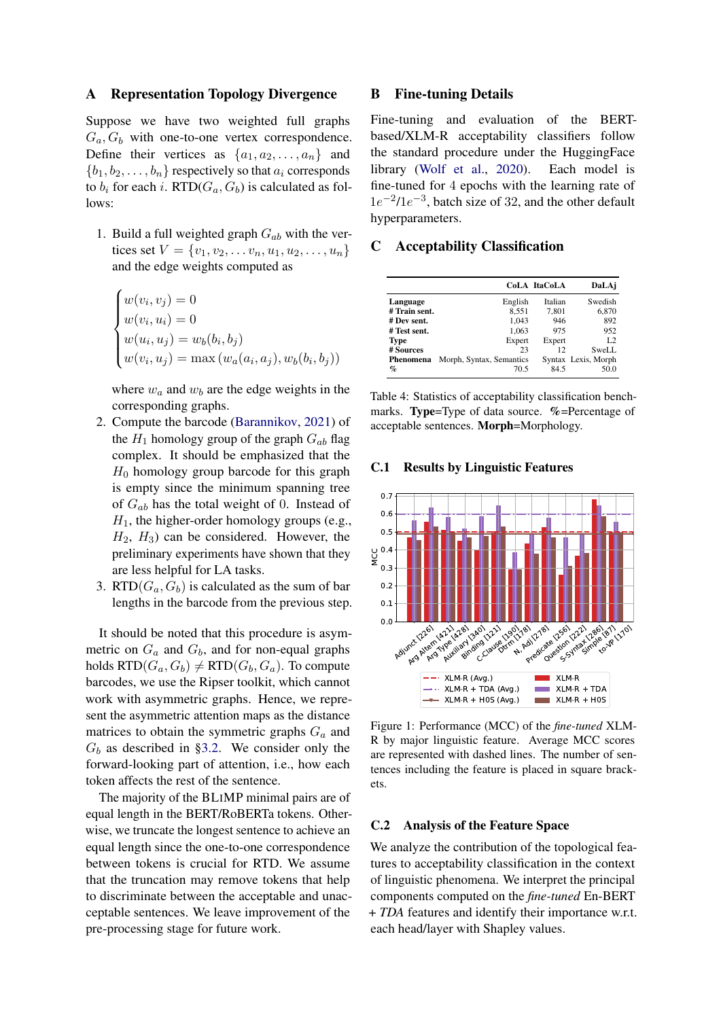## <span id="page-12-0"></span>A Representation Topology Divergence

Suppose we have two weighted full graphs  $G_a, G_b$  with one-to-one vertex correspondence. Define their vertices as  $\{a_1, a_2, \ldots, a_n\}$  and  ${b_1, b_2, \ldots, b_n}$  respectively so that  $a_i$  corresponds to  $b_i$  for each i. RTD( $G_a$ ,  $G_b$ ) is calculated as follows:

1. Build a full weighted graph  $G_{ab}$  with the vertices set  $V = \{v_1, v_2, \dots v_n, u_1, u_2, \dots, u_n\}$ and the edge weights computed as

$$
\begin{cases}\nw(v_i, v_j) = 0 \\
w(v_i, u_i) = 0 \\
w(u_i, u_j) = w_b(b_i, b_j) \\
w(v_i, u_j) = \max(w_a(a_i, a_j), w_b(b_i, b_j))\n\end{cases}
$$

where  $w_a$  and  $w_b$  are the edge weights in the corresponding graphs.

- 2. Compute the barcode [\(Barannikov,](#page-8-9) [2021\)](#page-8-9) of the  $H_1$  homology group of the graph  $G_{ab}$  flag complex. It should be emphasized that the  $H_0$  homology group barcode for this graph is empty since the minimum spanning tree of  $G_{ab}$  has the total weight of 0. Instead of  $H_1$ , the higher-order homology groups (e.g.,  $H_2$ ,  $H_3$ ) can be considered. However, the preliminary experiments have shown that they are less helpful for LA tasks.
- 3. RTD( $G_a$ ,  $G_b$ ) is calculated as the sum of bar lengths in the barcode from the previous step.

It should be noted that this procedure is asymmetric on  $G_a$  and  $G_b$ , and for non-equal graphs holds  $RTD(G_a, G_b) \neq RTD(G_b, G_a)$ . To compute barcodes, we use the Ripser toolkit, which cannot work with asymmetric graphs. Hence, we represent the asymmetric attention maps as the distance matrices to obtain the symmetric graphs  $G_a$  and  $G_b$  as described in [§3.2.](#page-2-1) We consider only the forward-looking part of attention, i.e., how each token affects the rest of the sentence.

The majority of the BLIMP minimal pairs are of equal length in the BERT/RoBERTa tokens. Otherwise, we truncate the longest sentence to achieve an equal length since the one-to-one correspondence between tokens is crucial for RTD. We assume that the truncation may remove tokens that help to discriminate between the acceptable and unacceptable sentences. We leave improvement of the pre-processing stage for future work.

## <span id="page-12-3"></span>B Fine-tuning Details

Fine-tuning and evaluation of the BERTbased/XLM-R acceptability classifiers follow the standard procedure under the HuggingFace library [\(Wolf et al.,](#page-11-16) [2020\)](#page-11-16). Each model is fine-tuned for 4 epochs with the learning rate of  $1e^{-2}/1e^{-3}$ , batch size of 32, and the other default hyperparameters.

### <span id="page-12-2"></span>C Acceptability Classification

<span id="page-12-1"></span>

|                 |                          | CoLA ItaCoLA | DaLAj               |
|-----------------|--------------------------|--------------|---------------------|
| Language        | English                  | Italian      | Swedish             |
| # Train sent.   | 8.551                    | 7,801        | 6,870               |
| # Dev sent.     | 1.043                    | 946          | 892                 |
| # Test sent.    | 1.063                    | 975          | 952                 |
| <b>Type</b>     | Expert                   | Expert       | L <sub>2</sub>      |
| # Sources       | 23                       | 12           | SweLL               |
| Phenomena       | Morph, Syntax, Semantics |              | Syntax Lexis, Morph |
| $\mathcal{G}_0$ | 70.5                     | 84.5         | 50.0                |

Table 4: Statistics of acceptability classification benchmarks. Type=Type of data source. %=Percentage of acceptable sentences. Morph=Morphology.

#### <span id="page-12-5"></span>C.1 Results by Linguistic Features

<span id="page-12-4"></span>

Figure 1: Performance (MCC) of the *fine-tuned* XLM-R by major linguistic feature. Average MCC scores are represented with dashed lines. The number of sentences including the feature is placed in square brackets.

## <span id="page-12-6"></span>C.2 Analysis of the Feature Space

We analyze the contribution of the topological features to acceptability classification in the context of linguistic phenomena. We interpret the principal components computed on the *fine-tuned* En-BERT + *TDA* features and identify their importance w.r.t. each head/layer with Shapley values.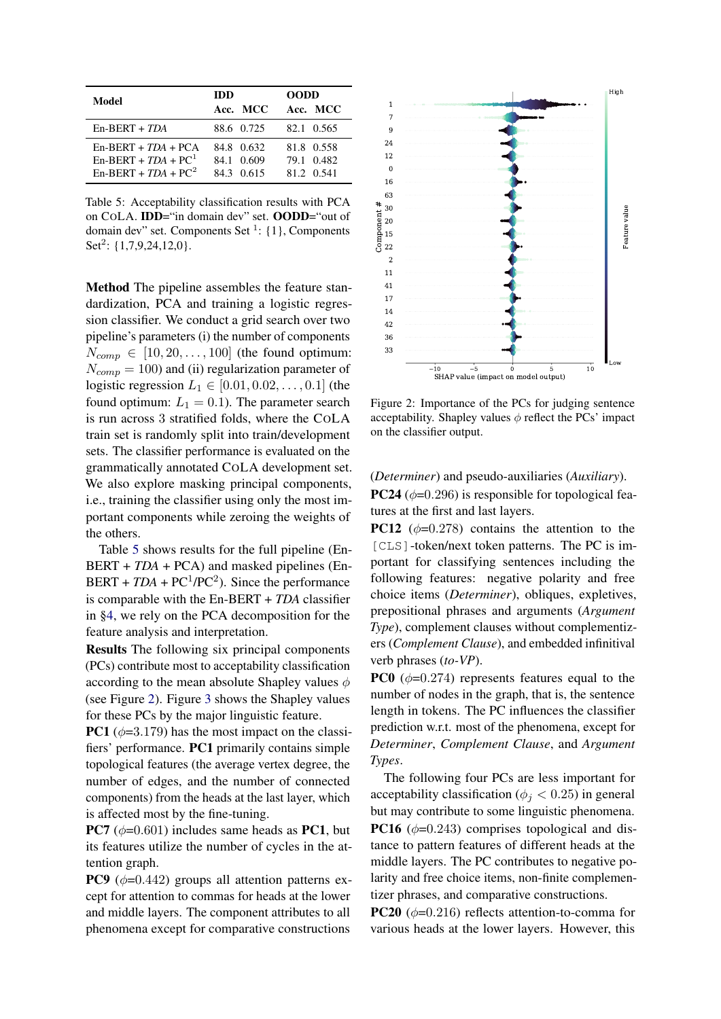<span id="page-13-0"></span>

| Model                                                                    | IDD<br>Acc. MCC                      | <b>OODD</b><br>Acc. MCC                |
|--------------------------------------------------------------------------|--------------------------------------|----------------------------------------|
| $En-BERT + TDA$                                                          | 88.6 0.725                           | 82.1 0.565                             |
| $En-BERT + TDA + PCA$<br>$En-BERT + TDA + PC1$<br>$En-BERT + TDA + PC^2$ | 84.8 0.632<br>84.1 0.609<br>843 0615 | 81.8 0.558<br>79.1 0.482<br>81 2 0 541 |

Table 5: Acceptability classification results with PCA on COLA. IDD="in domain dev" set. OODD="out of domain dev" set. Components Set  $\frac{1}{1}$ : {1}, Components Set<sup>2</sup>: {1,7,9,24,12,0}.

Method The pipeline assembles the feature standardization, PCA and training a logistic regression classifier. We conduct a grid search over two pipeline's parameters (i) the number of components  $N_{comp} \in [10, 20, \ldots, 100]$  (the found optimum:  $N_{comp} = 100$ ) and (ii) regularization parameter of logistic regression  $L_1 \in [0.01, 0.02, \ldots, 0.1]$  (the found optimum:  $L_1 = 0.1$ ). The parameter search is run across 3 stratified folds, where the COLA train set is randomly split into train/development sets. The classifier performance is evaluated on the grammatically annotated COLA development set. We also explore masking principal components, i.e., training the classifier using only the most important components while zeroing the weights of the others.

Table [5](#page-13-0) shows results for the full pipeline (En-BERT + *TDA* + PCA) and masked pipelines (En-BERT +  $TDA$  +  $PC<sup>1</sup>/PC<sup>2</sup>$ ). Since the performance is comparable with the En-BERT + *TDA* classifier in [§4,](#page-3-0) we rely on the PCA decomposition for the feature analysis and interpretation.

Results The following six principal components (PCs) contribute most to acceptability classification according to the mean absolute Shapley values  $\phi$ (see Figure [2\)](#page-13-1). Figure [3](#page-14-2) shows the Shapley values for these PCs by the major linguistic feature.

**PC1** ( $\phi$ =3.179) has the most impact on the classifiers' performance. PC1 primarily contains simple topological features (the average vertex degree, the number of edges, and the number of connected components) from the heads at the last layer, which is affected most by the fine-tuning.

**PC7** ( $\phi$ =0.601) includes same heads as **PC1**, but its features utilize the number of cycles in the attention graph.

**PC9** ( $\phi$ =0.442) groups all attention patterns except for attention to commas for heads at the lower and middle layers. The component attributes to all phenomena except for comparative constructions

<span id="page-13-1"></span>

Figure 2: Importance of the PCs for judging sentence acceptability. Shapley values  $\phi$  reflect the PCs' impact on the classifier output.

### (*Determiner*) and pseudo-auxiliaries (*Auxiliary*).

**PC24** ( $\phi$ =0.296) is responsible for topological features at the first and last layers.

**PC12** ( $\phi$ =0.278) contains the attention to the [CLS]-token/next token patterns. The PC is important for classifying sentences including the following features: negative polarity and free choice items (*Determiner*), obliques, expletives, prepositional phrases and arguments (*Argument Type*), complement clauses without complementizers (*Complement Clause*), and embedded infinitival verb phrases (*to-VP*).

**PC0** ( $\phi$ =0.274) represents features equal to the number of nodes in the graph, that is, the sentence length in tokens. The PC influences the classifier prediction w.r.t. most of the phenomena, except for *Determiner*, *Complement Clause*, and *Argument Types*.

The following four PCs are less important for acceptability classification ( $\phi_j < 0.25$ ) in general but may contribute to some linguistic phenomena. **PC16** ( $\phi$ =0.243) comprises topological and distance to pattern features of different heads at the middle layers. The PC contributes to negative polarity and free choice items, non-finite complementizer phrases, and comparative constructions.

**PC20** ( $\phi$ =0.216) reflects attention-to-comma for various heads at the lower layers. However, this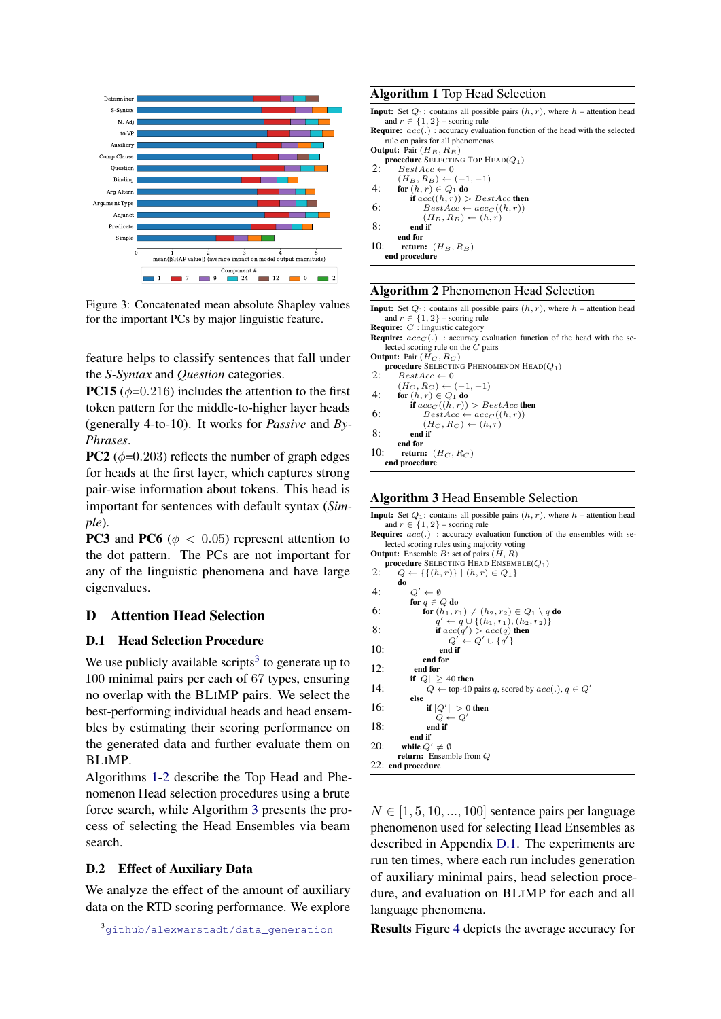<span id="page-14-2"></span>

Figure 3: Concatenated mean absolute Shapley values for the important PCs by major linguistic feature.

feature helps to classify sentences that fall under the *S-Syntax* and *Question* categories.

**PC15** ( $\phi$ =0.216) includes the attention to the first token pattern for the middle-to-higher layer heads (generally 4-to-10). It works for *Passive* and *By-Phrases*.

**PC2** ( $\phi$ =0.203) reflects the number of graph edges for heads at the first layer, which captures strong pair-wise information about tokens. This head is important for sentences with default syntax (*Simple*).

**PC3** and **PC6** ( $\phi$  < 0.05) represent attention to the dot pattern. The PCs are not important for any of the linguistic phenomena and have large eigenvalues.

# D Attention Head Selection

## <span id="page-14-0"></span>D.1 Head Selection Procedure

We use publicly available scripts<sup>[3](#page-14-3)</sup> to generate up to 100 minimal pairs per each of 67 types, ensuring no overlap with the BLIMP pairs. We select the best-performing individual heads and head ensembles by estimating their scoring performance on the generated data and further evaluate them on BLIMP.

Algorithms [1-](#page-14-4)[2](#page-14-5) describe the Top Head and Phenomenon Head selection procedures using a brute force search, while Algorithm [3](#page-14-6) presents the process of selecting the Head Ensembles via beam search.

## <span id="page-14-1"></span>D.2 Effect of Auxiliary Data

We analyze the effect of the amount of auxiliary data on the RTD scoring performance. We explore

### <span id="page-14-4"></span>Algorithm 1 Top Head Selection

- **Input:** Set  $Q_1$ : contains all possible pairs  $(h, r)$ , where  $h$  attention head and  $r \in \{1, 2\}$  – scoring rule **Require:**  $acc(.)$ : accuracy evaluation function of the head with the selected rule on pairs for all phenomenas
- **Output:** Pair  $(H_B, R_B)$
- procedure SELECTING TOP  $\text{HEAD}(Q_1)$ 2:  $BestAcc \leftarrow 0$

 $(H_B, R_B) \leftarrow (-1, -1)$ 

- 4: for  $(h, r) \in Q_1$  do
- if  $acc((h, r)) > BestAcc$  then<br>6:  $BestAcc \leftarrow acc_C((h, r))$
- $(H_B, R_B) \leftarrow (h, r)$
- 8: end if

```
end for
10: return: (H_B, R_B)
```

```
end procedure
```
#### <span id="page-14-5"></span>Algorithm 2 Phenomenon Head Selection

Input: Set  $Q_1$ : contains all possible pairs  $(h, r)$ , where  $h$  – attention head and  $r \in \{1, 2\}$  – scoring rule<br>**Require:** *C* : linguistic category

**Require:**  $acc_C(.)$  : accuracy evaluation function of the head with the selected scoring rule on the  $C$  pairs

Output: Pair  $(H_C, R_C)$ procedure SELECTING PHENOMENON  $\text{HeAD}(Q_1)$ 2:  $BestAcc \leftarrow 0$  $(H_C, R_C) \leftarrow (-1, -1)$ 4: for  $(h, r) \in Q_1$  do if  $acc_C((h, r)) > BestAcc$  then<br>6:  $BestAcc \leftarrow acc_C((h, r))$  $(H_C, R_C) \leftarrow (h, r)$ 8: end if end for 10: return:  $(H_C, R_C)$ end procedure

#### <span id="page-14-6"></span>Algorithm 3 Head Ensemble Selection

| <b>Input:</b> Set $Q_1$ : contains all possible pairs $(h, r)$ , where $h$ – attention head<br>and $r \in \{1, 2\}$ – scoring rule |  |
|------------------------------------------------------------------------------------------------------------------------------------|--|
| <b>Require:</b> $acc(.)$ : accuracy evaluation function of the ensembles with se-                                                  |  |
| lected scoring rules using majority voting                                                                                         |  |
| <b>Output:</b> Ensemble $B$ : set of pairs $(H, R)$                                                                                |  |
| <b>procedure</b> SELECTING HEAD ENSEMBLE( $Q_1$ )                                                                                  |  |
| 2:<br>$Q \leftarrow \{\{(h,r)\}\mid (h,r) \in Q_1\}$                                                                               |  |
| do                                                                                                                                 |  |
| 4:<br>$Q' \leftarrow \emptyset$                                                                                                    |  |
| for $q \in Q$ do                                                                                                                   |  |
| 6:<br>for $(h_1, r_1) \neq (h_2, r_2) \in Q_1 \setminus q$ do                                                                      |  |
| $q' \leftarrow q \cup \{(h_1, r_1), (h_2, r_2)\}\$                                                                                 |  |
| 8:<br>if $acc(q') > acc(q)$ then                                                                                                   |  |
| $Q' \leftarrow Q' \cup \{q'\}$                                                                                                     |  |

```
10: end if
```
end for

```
12: end for<br>if |Q| \ge\geq 40 then
```
14:  $Q \leftarrow \text{top-40 pairs } q$ , scored by  $acc(.)$ ,  $q \in Q'$ else

```
16: if |Q'| > 0 then
             -Q18: end if
```

```
end if
```

```
20: while Q' \neq \emptysetreturn: Ensemble from Q
```
22: end procedure

 $N \in [1, 5, 10, \ldots, 100]$  sentence pairs per language phenomenon used for selecting Head Ensembles as described in Appendix [D.1.](#page-14-0) The experiments are run ten times, where each run includes generation of auxiliary minimal pairs, head selection procedure, and evaluation on BLIMP for each and all language phenomena.

Results Figure [4](#page-15-1) depicts the average accuracy for

<span id="page-14-3"></span><sup>3</sup>[github/alexwarstadt/data\\_generation](https://github.com/alexwarstadt/data_generation)